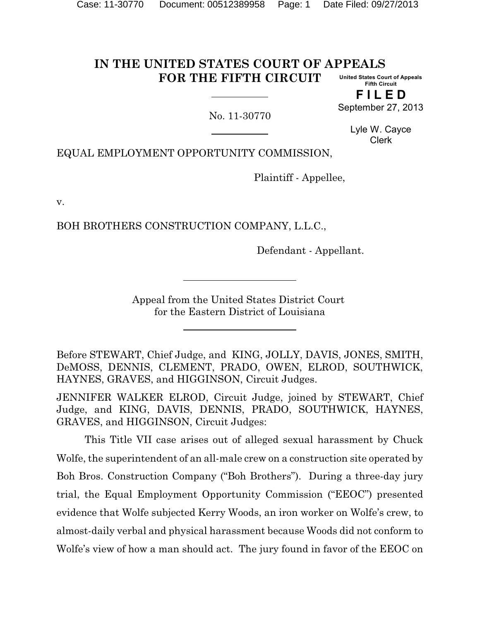#### **IN THE UNITED STATES COURT OF APPEALS FOR THE FIFTH CIRCUIT United States Court of Appeals Fifth Circuit**

No. 11-30770

**F I L E D** September 27, 2013

> Lyle W. Cayce Clerk

EQUAL EMPLOYMENT OPPORTUNITY COMMISSION,

Plaintiff - Appellee,

v.

BOH BROTHERS CONSTRUCTION COMPANY, L.L.C.,

Defendant - Appellant.

Appeal from the United States District Court for the Eastern District of Louisiana

Before STEWART, Chief Judge, and KING, JOLLY, DAVIS, JONES, SMITH, DeMOSS, DENNIS, CLEMENT, PRADO, OWEN, ELROD, SOUTHWICK, HAYNES, GRAVES, and HIGGINSON, Circuit Judges.

JENNIFER WALKER ELROD, Circuit Judge, joined by STEWART, Chief Judge, and KING, DAVIS, DENNIS, PRADO, SOUTHWICK, HAYNES, GRAVES, and HIGGINSON, Circuit Judges:

This Title VII case arises out of alleged sexual harassment by Chuck Wolfe, the superintendent of an all-male crew on a construction site operated by Boh Bros. Construction Company ("Boh Brothers"). During a three-day jury trial, the Equal Employment Opportunity Commission ("EEOC") presented evidence that Wolfe subjected Kerry Woods, an iron worker on Wolfe's crew, to almost-daily verbal and physical harassment because Woods did not conform to Wolfe's view of how a man should act. The jury found in favor of the EEOC on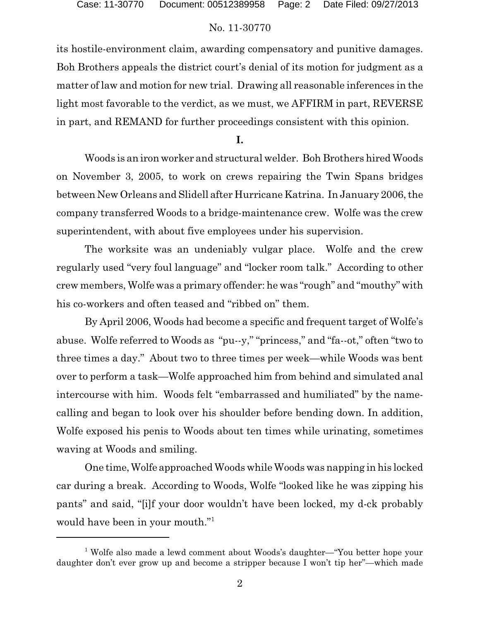its hostile-environment claim, awarding compensatory and punitive damages. Boh Brothers appeals the district court's denial of its motion for judgment as a matter of law and motion for new trial. Drawing all reasonable inferences in the light most favorable to the verdict, as we must, we AFFIRM in part, REVERSE in part, and REMAND for further proceedings consistent with this opinion.

**I.**

Woods is an iron worker and structural welder. Boh Brothers hired Woods on November 3, 2005, to work on crews repairing the Twin Spans bridges between New Orleans and Slidell after Hurricane Katrina. In January 2006, the company transferred Woods to a bridge-maintenance crew. Wolfe was the crew superintendent, with about five employees under his supervision.

The worksite was an undeniably vulgar place. Wolfe and the crew regularly used "very foul language" and "locker room talk." According to other crew members, Wolfe was a primary offender: he was "rough" and "mouthy" with his co-workers and often teased and "ribbed on" them.

By April 2006, Woods had become a specific and frequent target of Wolfe's abuse. Wolfe referred to Woods as "pu--y," "princess," and "fa--ot," often "two to three times a day." About two to three times per week—while Woods was bent over to perform a task—Wolfe approached him from behind and simulated anal intercourse with him. Woods felt "embarrassed and humiliated" by the namecalling and began to look over his shoulder before bending down. In addition, Wolfe exposed his penis to Woods about ten times while urinating, sometimes waving at Woods and smiling.

One time,Wolfe approached Woods while Woods was napping in his locked car during a break. According to Woods, Wolfe "looked like he was zipping his pants" and said, "[i]f your door wouldn't have been locked, my d-ck probably would have been in your mouth."<sup>1</sup>

<sup>&</sup>lt;sup>1</sup> Wolfe also made a lewd comment about Woods's daughter—"You better hope your daughter don't ever grow up and become a stripper because I won't tip her"—which made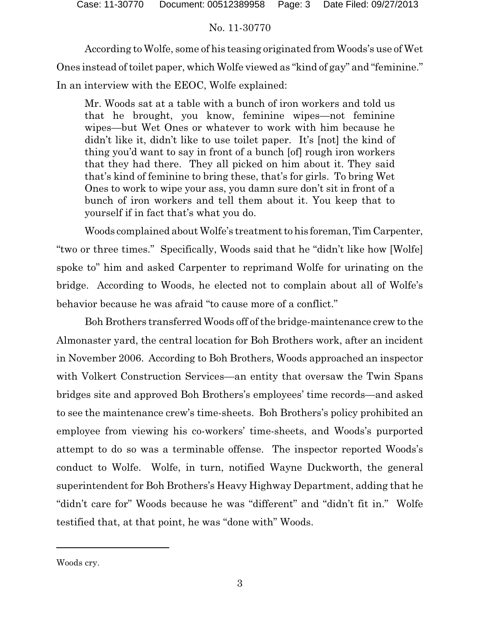According to Wolfe, some of his teasing originated from Woods's use of Wet Ones instead of toilet paper, which Wolfe viewed as "kind of gay" and "feminine." In an interview with the EEOC, Wolfe explained:

Mr. Woods sat at a table with a bunch of iron workers and told us that he brought, you know, feminine wipes—not feminine wipes—but Wet Ones or whatever to work with him because he didn't like it, didn't like to use toilet paper. It's [not] the kind of thing you'd want to say in front of a bunch [of] rough iron workers that they had there. They all picked on him about it. They said that's kind of feminine to bring these, that's for girls. To bring Wet Ones to work to wipe your ass, you damn sure don't sit in front of a bunch of iron workers and tell them about it. You keep that to yourself if in fact that's what you do.

Woods complained about Wolfe's treatment to his foreman, Tim Carpenter, "two or three times." Specifically, Woods said that he "didn't like how [Wolfe] spoke to" him and asked Carpenter to reprimand Wolfe for urinating on the bridge. According to Woods, he elected not to complain about all of Wolfe's behavior because he was afraid "to cause more of a conflict."

Boh Brothers transferred Woods off of the bridge-maintenance crew to the Almonaster yard, the central location for Boh Brothers work, after an incident in November 2006. According to Boh Brothers, Woods approached an inspector with Volkert Construction Services—an entity that oversaw the Twin Spans bridges site and approved Boh Brothers's employees' time records—and asked to see the maintenance crew's time-sheets. Boh Brothers's policy prohibited an employee from viewing his co-workers' time-sheets, and Woods's purported attempt to do so was a terminable offense. The inspector reported Woods's conduct to Wolfe. Wolfe, in turn, notified Wayne Duckworth, the general superintendent for Boh Brothers's Heavy Highway Department, adding that he "didn't care for" Woods because he was "different" and "didn't fit in." Wolfe testified that, at that point, he was "done with" Woods.

Woods cry.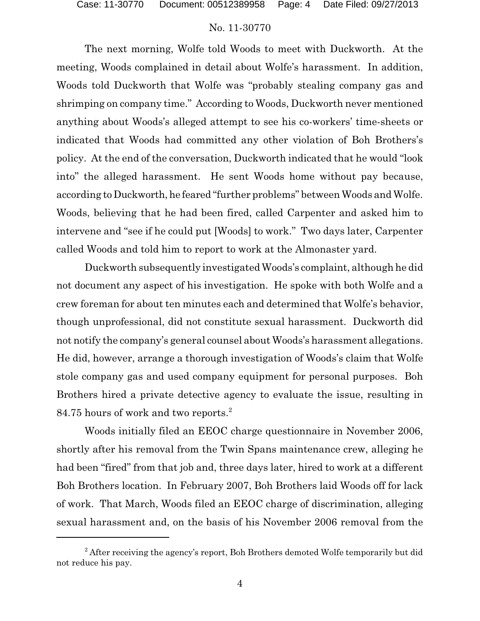The next morning, Wolfe told Woods to meet with Duckworth. At the meeting, Woods complained in detail about Wolfe's harassment. In addition, Woods told Duckworth that Wolfe was "probably stealing company gas and shrimping on company time." According to Woods, Duckworth never mentioned anything about Woods's alleged attempt to see his co-workers' time-sheets or indicated that Woods had committed any other violation of Boh Brothers's policy. At the end of the conversation, Duckworth indicated that he would "look into" the alleged harassment. He sent Woods home without pay because, according to Duckworth, he feared "further problems" between Woods and Wolfe. Woods, believing that he had been fired, called Carpenter and asked him to intervene and "see if he could put [Woods] to work." Two days later, Carpenter called Woods and told him to report to work at the Almonaster yard.

Duckworth subsequently investigated Woods's complaint, although he did not document any aspect of his investigation. He spoke with both Wolfe and a crew foreman for about ten minutes each and determined that Wolfe's behavior, though unprofessional, did not constitute sexual harassment. Duckworth did not notify the company's general counsel about Woods's harassment allegations. He did, however, arrange a thorough investigation of Woods's claim that Wolfe stole company gas and used company equipment for personal purposes. Boh Brothers hired a private detective agency to evaluate the issue, resulting in 84.75 hours of work and two reports.<sup>2</sup>

Woods initially filed an EEOC charge questionnaire in November 2006, shortly after his removal from the Twin Spans maintenance crew, alleging he had been "fired" from that job and, three days later, hired to work at a different Boh Brothers location. In February 2007, Boh Brothers laid Woods off for lack of work. That March, Woods filed an EEOC charge of discrimination, alleging sexual harassment and, on the basis of his November 2006 removal from the

<sup>&</sup>lt;sup>2</sup> After receiving the agency's report, Boh Brothers demoted Wolfe temporarily but did not reduce his pay.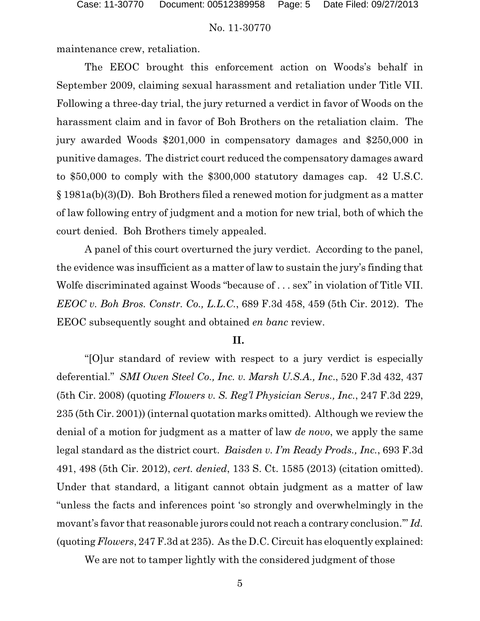maintenance crew, retaliation.

The EEOC brought this enforcement action on Woods's behalf in September 2009, claiming sexual harassment and retaliation under Title VII. Following a three-day trial, the jury returned a verdict in favor of Woods on the harassment claim and in favor of Boh Brothers on the retaliation claim. The jury awarded Woods \$201,000 in compensatory damages and \$250,000 in punitive damages. The district court reduced the compensatory damages award to \$50,000 to comply with the \$300,000 statutory damages cap. 42 U.S.C. § 1981a(b)(3)(D). Boh Brothers filed a renewed motion for judgment as a matter of law following entry of judgment and a motion for new trial, both of which the court denied. Boh Brothers timely appealed.

A panel of this court overturned the jury verdict. According to the panel, the evidence was insufficient as a matter of law to sustain the jury's finding that Wolfe discriminated against Woods "because of . . . sex" in violation of Title VII. *EEOC v. Boh Bros. Constr. Co., L.L.C.*, 689 F.3d 458, 459 (5th Cir. 2012). The EEOC subsequently sought and obtained *en banc* review.

#### **II.**

"[O]ur standard of review with respect to a jury verdict is especially deferential." *SMI Owen Steel Co., Inc. v. Marsh U.S.A., Inc*., 520 F.3d 432, 437 (5th Cir. 2008) (quoting *Flowers v. S. Reg'l Physician Servs., Inc.*, 247 F.3d 229, 235 (5th Cir. 2001)) (internal quotation marks omitted). Although we review the denial of a motion for judgment as a matter of law *de novo*, we apply the same legal standard as the district court. *Baisden v. I'm Ready Prods., Inc.*, 693 F.3d 491, 498 (5th Cir. 2012), *cert. denied*, 133 S. Ct. 1585 (2013) (citation omitted). Under that standard, a litigant cannot obtain judgment as a matter of law "unless the facts and inferences point 'so strongly and overwhelmingly in the movant's favor that reasonable jurors could not reach a contrary conclusion.'" *Id.* (quoting *Flowers*, 247 F.3d at 235). As the D.C. Circuit has eloquently explained:

We are not to tamper lightly with the considered judgment of those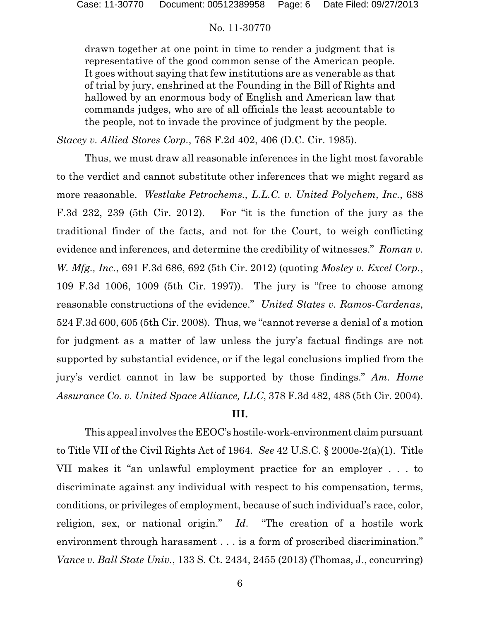drawn together at one point in time to render a judgment that is representative of the good common sense of the American people. It goes without saying that few institutions are as venerable as that of trial by jury, enshrined at the Founding in the Bill of Rights and hallowed by an enormous body of English and American law that commands judges, who are of all officials the least accountable to the people, not to invade the province of judgment by the people.

*Stacey v. Allied Stores Corp.*, 768 F.2d 402, 406 (D.C. Cir. 1985).

Thus, we must draw all reasonable inferences in the light most favorable to the verdict and cannot substitute other inferences that we might regard as more reasonable. *Westlake Petrochems., L.L.C. v. United Polychem, Inc.*, 688 F.3d 232, 239 (5th Cir. 2012). For "it is the function of the jury as the traditional finder of the facts, and not for the Court, to weigh conflicting evidence and inferences, and determine the credibility of witnesses." *Roman v. W. Mfg., Inc.*, 691 F.3d 686, 692 (5th Cir. 2012) (quoting *Mosley v. Excel Corp.*, 109 F.3d 1006, 1009 (5th Cir. 1997)). The jury is "free to choose among reasonable constructions of the evidence." *United States v. Ramos-Cardenas*, 524 F.3d 600, 605 (5th Cir. 2008). Thus, we "cannot reverse a denial of a motion for judgment as a matter of law unless the jury's factual findings are not supported by substantial evidence, or if the legal conclusions implied from the jury's verdict cannot in law be supported by those findings." *Am. Home Assurance Co. v. United Space Alliance, LLC*, 378 F.3d 482, 488 (5th Cir. 2004).

### **III.**

This appealinvolves the EEOC's hostile-work-environment claim pursuant to Title VII of the Civil Rights Act of 1964. *See* 42 U.S.C. § 2000e-2(a)(1). Title VII makes it "an unlawful employment practice for an employer . . . to discriminate against any individual with respect to his compensation, terms, conditions, or privileges of employment, because of such individual's race, color, religion, sex, or national origin." *Id*. "The creation of a hostile work environment through harassment . . . is a form of proscribed discrimination." *Vance v. Ball State Univ.*, 133 S. Ct. 2434, 2455 (2013) (Thomas, J., concurring)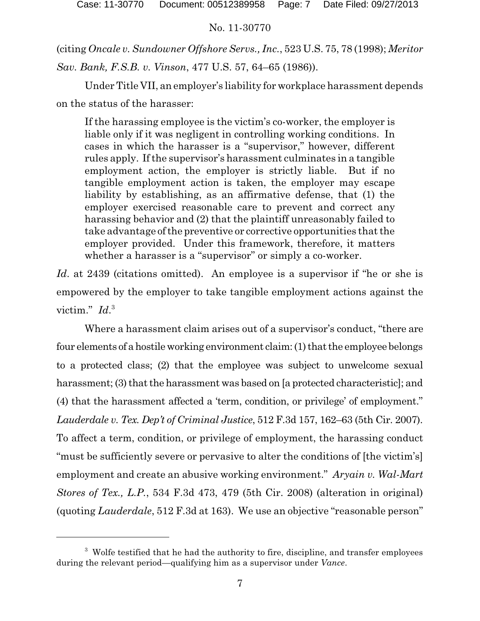(citing *Oncale v. Sundowner Offshore Servs., Inc.*, 523 U.S. 75, 78 (1998); *Meritor Sav. Bank, F.S.B. v. Vinson*, 477 U.S. 57, 64–65 (1986)).

Under Title VII, an employer's liability for workplace harassment depends on the status of the harasser:

If the harassing employee is the victim's co-worker, the employer is liable only if it was negligent in controlling working conditions. In cases in which the harasser is a "supervisor," however, different rules apply. Ifthe supervisor's harassment culminates in a tangible employment action, the employer is strictly liable. But if no tangible employment action is taken, the employer may escape liability by establishing, as an affirmative defense, that (1) the employer exercised reasonable care to prevent and correct any harassing behavior and (2) that the plaintiff unreasonably failed to take advantage ofthe preventive or corrective opportunities that the employer provided. Under this framework, therefore, it matters whether a harasser is a "supervisor" or simply a co-worker.

*Id.* at 2439 (citations omitted). An employee is a supervisor if "he or she is empowered by the employer to take tangible employment actions against the victim." *Id*. 3

Where a harassment claim arises out of a supervisor's conduct, "there are four elements of a hostile working environment claim: (1) that the employee belongs to a protected class; (2) that the employee was subject to unwelcome sexual harassment; (3) that the harassment was based on [a protected characteristic]; and (4) that the harassment affected a 'term, condition, or privilege' of employment." *Lauderdale v. Tex. Dep't of Criminal Justice*, 512 F.3d 157, 162–63 (5th Cir. 2007). To affect a term, condition, or privilege of employment, the harassing conduct "must be sufficiently severe or pervasive to alter the conditions of [the victim's] employment and create an abusive working environment." *Aryain v. Wal-Mart Stores of Tex., L.P.*, 534 F.3d 473, 479 (5th Cir. 2008) (alteration in original) (quoting *Lauderdale*, 512 F.3d at 163). We use an objective "reasonable person"

<sup>&</sup>lt;sup>3</sup> Wolfe testified that he had the authority to fire, discipline, and transfer employees during the relevant period—qualifying him as a supervisor under *Vance*.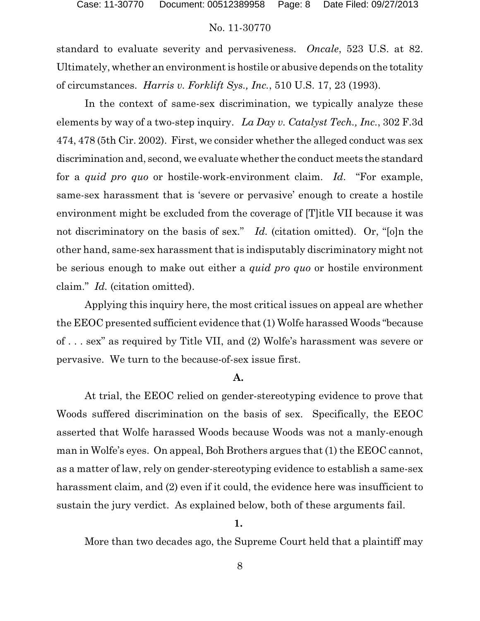standard to evaluate severity and pervasiveness. *Oncale*, 523 U.S. at 82. Ultimately, whether an environment is hostile or abusive depends on the totality of circumstances. *Harris v. Forklift Sys., Inc.*, 510 U.S. 17, 23 (1993).

In the context of same-sex discrimination, we typically analyze these elements by way of a two-step inquiry. *La Day v. Catalyst Tech., Inc.*, 302 F.3d 474, 478 (5th Cir. 2002). First, we consider whether the alleged conduct was sex discrimination and, second, we evaluate whether the conduct meets the standard for a *quid pro quo* or hostile-work-environment claim. *Id*. "For example, same-sex harassment that is 'severe or pervasive' enough to create a hostile environment might be excluded from the coverage of [T]itle VII because it was not discriminatory on the basis of sex." *Id.* (citation omitted). Or, "[o]n the other hand, same-sex harassment that is indisputably discriminatory might not be serious enough to make out either a *quid pro quo* or hostile environment claim." *Id.* (citation omitted).

Applying this inquiry here, the most critical issues on appeal are whether the EEOC presented sufficient evidence that (1) Wolfe harassed Woods "because of . . . sex" as required by Title VII, and (2) Wolfe's harassment was severe or pervasive. We turn to the because-of-sex issue first.

### **A.**

At trial, the EEOC relied on gender-stereotyping evidence to prove that Woods suffered discrimination on the basis of sex. Specifically, the EEOC asserted that Wolfe harassed Woods because Woods was not a manly-enough man in Wolfe's eyes. On appeal, Boh Brothers argues that (1) the EEOC cannot, as a matter of law, rely on gender-stereotyping evidence to establish a same-sex harassment claim, and (2) even if it could, the evidence here was insufficient to sustain the jury verdict. As explained below, both of these arguments fail.

### **1.**

More than two decades ago, the Supreme Court held that a plaintiff may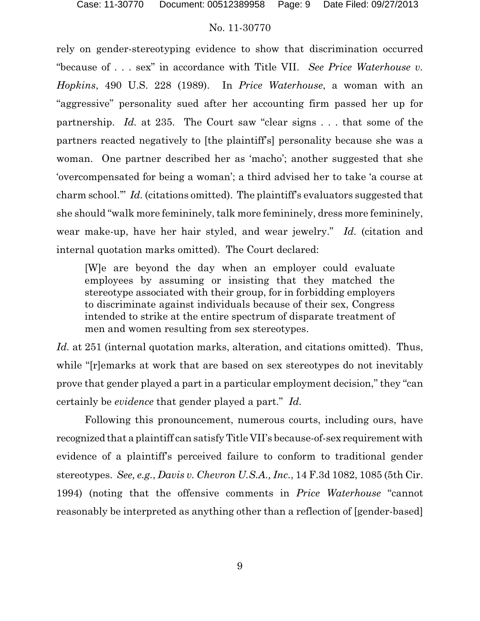rely on gender-stereotyping evidence to show that discrimination occurred "because of . . . sex" in accordance with Title VII. *See Price Waterhouse v. Hopkins*, 490 U.S. 228 (1989). In *Price Waterhouse*, a woman with an "aggressive" personality sued after her accounting firm passed her up for partnership. *Id.* at 235. The Court saw "clear signs . . . that some of the partners reacted negatively to [the plaintiff's] personality because she was a woman. One partner described her as 'macho'; another suggested that she 'overcompensated for being a woman'; a third advised her to take 'a course at charm school.'" *Id.* (citations omitted). The plaintiff's evaluators suggested that she should "walk more femininely, talk more femininely, dress more femininely, wear make-up, have her hair styled, and wear jewelry." *Id.* (citation and internal quotation marks omitted). The Court declared:

[W]e are beyond the day when an employer could evaluate employees by assuming or insisting that they matched the stereotype associated with their group, for in forbidding employers to discriminate against individuals because of their sex, Congress intended to strike at the entire spectrum of disparate treatment of men and women resulting from sex stereotypes.

*Id.* at 251 (internal quotation marks, alteration, and citations omitted). Thus, while "[r]emarks at work that are based on sex stereotypes do not inevitably prove that gender played a part in a particular employment decision," they "can certainly be *evidence* that gender played a part." *Id.*

Following this pronouncement, numerous courts, including ours, have recognized that a plaintiff can satisfy Title VII's because-of-sex requirement with evidence of a plaintiff's perceived failure to conform to traditional gender stereotypes. *See, e.g.*, *Davis v. Chevron U.S.A., Inc.*, 14 F.3d 1082, 1085 (5th Cir. 1994) (noting that the offensive comments in *Price Waterhouse* "cannot reasonably be interpreted as anything other than a reflection of [gender-based]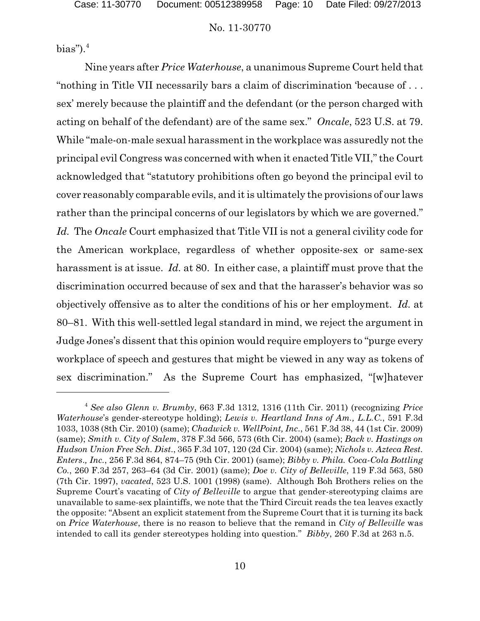bias"). $4$ 

Nine years after *Price Waterhouse*, a unanimous Supreme Court held that "nothing in Title VII necessarily bars a claim of discrimination 'because of . . . sex' merely because the plaintiff and the defendant (or the person charged with acting on behalf of the defendant) are of the same sex." *Oncale*, 523 U.S. at 79. While "male-on-male sexual harassment in the workplace was assuredly not the principal evil Congress was concerned with when it enacted Title VII," the Court acknowledged that "statutory prohibitions often go beyond the principal evil to cover reasonably comparable evils, and it is ultimately the provisions of our laws rather than the principal concerns of our legislators by which we are governed." *Id.* The *Oncale* Court emphasized that Title VII is not a general civility code for the American workplace, regardless of whether opposite-sex or same-sex harassment is at issue. *Id.* at 80. In either case, a plaintiff must prove that the discrimination occurred because of sex and that the harasser's behavior was so objectively offensive as to alter the conditions of his or her employment. *Id.* at 80–81. With this well-settled legal standard in mind, we reject the argument in Judge Jones's dissent that this opinion would require employers to "purge every workplace of speech and gestures that might be viewed in any way as tokens of sex discrimination." As the Supreme Court has emphasized, "[w]hatever

<sup>4</sup> *See also Glenn v. Brumby*, 663 F.3d 1312, 1316 (11th Cir. 2011) (recognizing *Price Waterhouse*'s gender-stereotype holding); *Lewis v. Heartland Inns of Am., L.L.C.*, 591 F.3d 1033, 1038 (8th Cir. 2010) (same); *Chadwick v. WellPoint, Inc*., 561 F.3d 38, 44 (1st Cir. 2009) (same); *Smith v. City of Salem*, 378 F.3d 566, 573 (6th Cir. 2004) (same); *Back v. Hastings on Hudson Union Free Sch. Dist*., 365 F.3d 107, 120 (2d Cir. 2004) (same); *Nichols v. Azteca Rest. Enters*.*, Inc.*, 256 F.3d 864, 874–75 (9th Cir. 2001) (same); *Bibby v. Phila. Coca-Cola Bottling Co.*, 260 F.3d 257, 263–64 (3d Cir. 2001) (same); *Doe v. City of Belleville*, 119 F.3d 563, 580 (7th Cir. 1997), *vacated*, 523 U.S. 1001 (1998) (same). Although Boh Brothers relies on the Supreme Court's vacating of *City of Belleville* to argue that gender-stereotyping claims are unavailable to same-sex plaintiffs, we note that the Third Circuit reads the tea leaves exactly the opposite: "Absent an explicit statement from the Supreme Court that it is turning its back on *Price Waterhouse*, there is no reason to believe that the remand in *City of Belleville* was intended to call its gender stereotypes holding into question." *Bibby*, 260 F.3d at 263 n.5.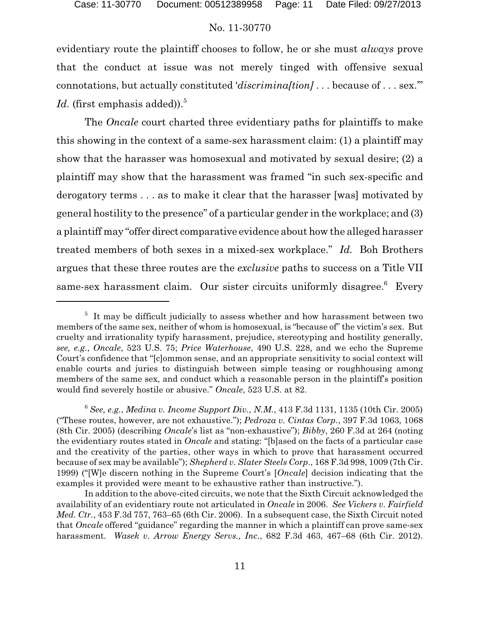evidentiary route the plaintiff chooses to follow, he or she must *always* prove that the conduct at issue was not merely tinged with offensive sexual connotations, but actually constituted '*discrimina[tion]* . . . because of . . . sex.'" *Id.* (first emphasis added)).<sup>5</sup>

The *Oncale* court charted three evidentiary paths for plaintiffs to make this showing in the context of a same-sex harassment claim: (1) a plaintiff may show that the harasser was homosexual and motivated by sexual desire; (2) a plaintiff may show that the harassment was framed "in such sex-specific and derogatory terms . . . as to make it clear that the harasser [was] motivated by general hostility to the presence" of a particular gender in the workplace; and (3) a plaintiff may "offer direct comparative evidence about how the alleged harasser treated members of both sexes in a mixed-sex workplace." *Id.* Boh Brothers argues that these three routes are the *exclusive* paths to success on a Title VII same-sex harassment claim. Our sister circuits uniformly disagree.<sup>6</sup> Every

<sup>&</sup>lt;sup>5</sup> It may be difficult judicially to assess whether and how harassment between two members of the same sex, neither of whom is homosexual, is "because of" the victim's sex. But cruelty and irrationality typify harassment, prejudice, stereotyping and hostility generally, *see, e.g.*, *Oncale*, 523 U.S. 75; *Price Waterhouse*, 490 U.S. 228, and we echo the Supreme Court's confidence that "[c]ommon sense, and an appropriate sensitivity to social context will enable courts and juries to distinguish between simple teasing or roughhousing among members of the same sex, and conduct which a reasonable person in the plaintiff's position would find severely hostile or abusive." *Oncale*, 523 U.S. at 82.

<sup>6</sup> *See, e.g.*, *Medina v. Income Support Div., N.M.*, 413 F.3d 1131, 1135 (10th Cir. 2005) ("These routes, however, are not exhaustive."); *Pedroza v. Cintas Corp.*, 397 F.3d 1063, 1068 (8th Cir. 2005) (describing *Oncale*'s list as "non-exhaustive"); *Bibby*, 260 F.3d at 264 (noting the evidentiary routes stated in *Oncale* and stating: "[b]ased on the facts of a particular case and the creativity of the parties, other ways in which to prove that harassment occurred because of sex may be available"); *Shepherd v. Slater Steels Corp*., 168 F.3d 998, 1009 (7th Cir. 1999) ("[W]e discern nothing in the Supreme Court's [*Oncale*] decision indicating that the examples it provided were meant to be exhaustive rather than instructive.").

In addition to the above-cited circuits, we note that the Sixth Circuit acknowledged the availability of an evidentiary route not articulated in *Oncale* in 2006. *See Vickers v. Fairfield Med. Ctr.*, 453 F.3d 757, 763–65 (6th Cir. 2006). In a subsequent case, the Sixth Circuit noted that *Oncale* offered "guidance" regarding the manner in which a plaintiff can prove same-sex harassment. *Wasek v. Arrow Energy Servs., Inc.*, 682 F.3d 463, 467–68 (6th Cir. 2012).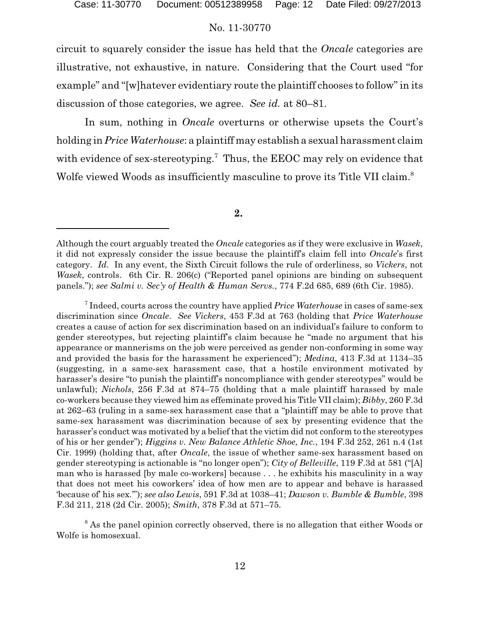circuit to squarely consider the issue has held that the *Oncale* categories are illustrative, not exhaustive, in nature. Considering that the Court used "for example" and "[w]hatever evidentiary route the plaintiff chooses to follow" in its discussion of those categories, we agree. *See id.* at 80–81.

In sum, nothing in *Oncale* overturns or otherwise upsets the Court's holding in *Price Waterhouse*: a plaintiff may establish a sexual harassment claim with evidence of sex-stereotyping.<sup>7</sup> Thus, the EEOC may rely on evidence that Wolfe viewed Woods as insufficiently masculine to prove its Title VII claim.<sup>8</sup>

**2.** 

7 Indeed, courts across the country have applied *Price Waterhouse* in cases of same-sex discrimination since *Oncale*. *See Vickers*, 453 F.3d at 763 (holding that *Price Waterhouse* creates a cause of action for sex discrimination based on an individual's failure to conform to gender stereotypes, but rejecting plaintiff's claim because he "made no argument that his appearance or mannerisms on the job were perceived as gender non-conforming in some way and provided the basis for the harassment he experienced"); *Medina*, 413 F.3d at 1134–35 (suggesting, in a same-sex harassment case, that a hostile environment motivated by harasser's desire "to punish the plaintiff's noncompliance with gender stereotypes" would be unlawful); *Nichols*, 256 F.3d at 874–75 (holding that a male plaintiff harassed by male co-workers because they viewed him as effeminate proved his Title VII claim); *Bibby*, 260 F.3d at 262–63 (ruling in a same-sex harassment case that a "plaintiff may be able to prove that same-sex harassment was discrimination because of sex by presenting evidence that the harasser's conduct was motivated by a belief that the victim did not conform to the stereotypes of his or her gender"); *Higgins v. New Balance Athletic Shoe, Inc.*, 194 F.3d 252, 261 n.4 (1st Cir. 1999) (holding that, after *Oncale*, the issue of whether same-sex harassment based on gender stereotyping is actionable is "no longer open"); *City of Belleville*, 119 F.3d at 581 ("[A] man who is harassed [by male co-workers] because . . . he exhibits his masculinity in a way that does not meet his coworkers' idea of how men are to appear and behave is harassed 'because of' his sex.'"); *see also Lewis*, 591 F.3d at 1038–41; *Dawson v. Bumble & Bumble*, 398 F.3d 211, 218 (2d Cir. 2005); *Smith*, 378 F.3d at 571–75.

<sup>8</sup> As the panel opinion correctly observed, there is no allegation that either Woods or Wolfe is homosexual.

Although the court arguably treated the *Oncale* categories as if they were exclusive in *Wasek*, it did not expressly consider the issue because the plaintiff's claim fell into *Oncale*'s first category. *Id*. In any event, the Sixth Circuit follows the rule of orderliness, so *Vickers*, not *Wasek*, controls. 6th Cir. R. 206(c) ("Reported panel opinions are binding on subsequent panels."); *see Salmi v. Sec'y of Health & Human Servs.*, 774 F.2d 685, 689 (6th Cir. 1985).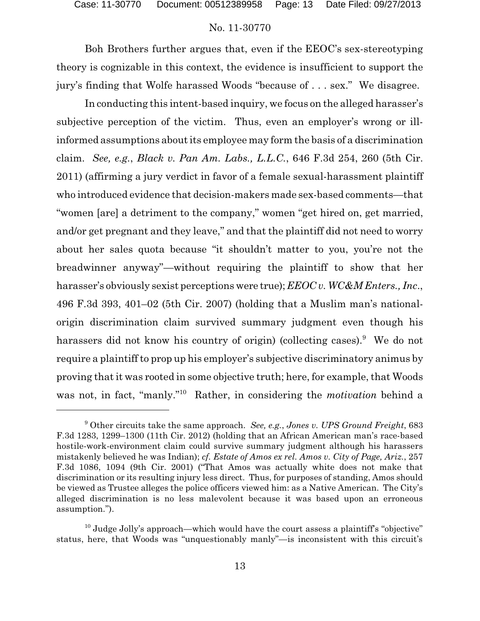Boh Brothers further argues that, even if the EEOC's sex-stereotyping theory is cognizable in this context, the evidence is insufficient to support the jury's finding that Wolfe harassed Woods "because of . . . sex." We disagree.

In conducting this intent-based inquiry, we focus on the alleged harasser's subjective perception of the victim. Thus, even an employer's wrong or illinformed assumptions about its employee may form the basis of a discrimination claim. *See, e.g.*, *Black v. Pan Am. Labs., L.L.C.*, 646 F.3d 254, 260 (5th Cir. 2011) (affirming a jury verdict in favor of a female sexual-harassment plaintiff who introduced evidence that decision-makers made sex-based comments—that "women [are] a detriment to the company," women "get hired on, get married, and/or get pregnant and they leave," and that the plaintiff did not need to worry about her sales quota because "it shouldn't matter to you, you're not the breadwinner anyway"—without requiring the plaintiff to show that her harasser's obviously sexist perceptions were true); *EEOC v. WC&M Enters., Inc*., 496 F.3d 393, 401–02 (5th Cir. 2007) (holding that a Muslim man's nationalorigin discrimination claim survived summary judgment even though his harassers did not know his country of origin) (collecting cases).<sup>9</sup> We do not require a plaintiff to prop up his employer's subjective discriminatory animus by proving that it was rooted in some objective truth; here, for example, that Woods was not, in fact, "manly."<sup>10</sup> Rather, in considering the *motivation* behind a

<sup>9</sup> Other circuits take the same approach. *See, e.g.*, *Jones v. UPS Ground Freight*, 683 F.3d 1283, 1299–1300 (11th Cir. 2012) (holding that an African American man's race-based hostile-work-environment claim could survive summary judgment although his harassers mistakenly believed he was Indian); *cf. Estate of Amos ex rel. Amos v. City of Page, Ariz.*, 257 F.3d 1086, 1094 (9th Cir. 2001) ("That Amos was actually white does not make that discrimination or its resulting injury less direct. Thus, for purposes of standing, Amos should be viewed as Trustee alleges the police officers viewed him: as a Native American. The City's alleged discrimination is no less malevolent because it was based upon an erroneous assumption.").

<sup>&</sup>lt;sup>10</sup> Judge Jolly's approach—which would have the court assess a plaintiff's "objective" status, here, that Woods was "unquestionably manly"—is inconsistent with this circuit's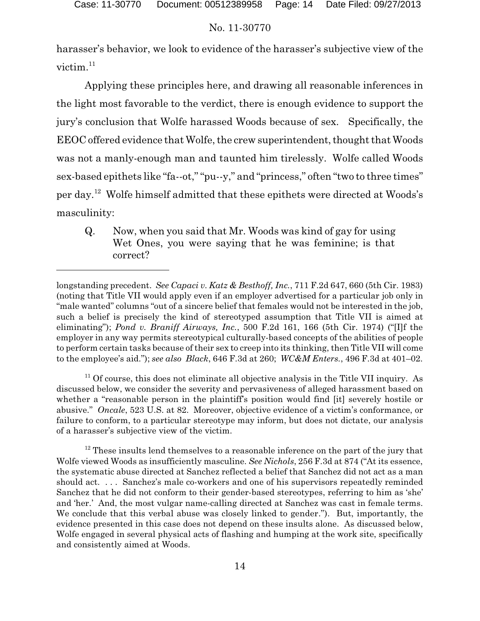harasser's behavior, we look to evidence of the harasser's subjective view of the victim.<sup>11</sup>

Applying these principles here, and drawing all reasonable inferences in the light most favorable to the verdict, there is enough evidence to support the jury's conclusion that Wolfe harassed Woods because of sex. Specifically, the EEOC offered evidence that Wolfe, the crew superintendent, thought that Woods was not a manly-enough man and taunted him tirelessly. Wolfe called Woods sex-based epithets like "fa--ot," "pu--y," and "princess," often "two to three times" per day.<sup>12</sup> Wolfe himself admitted that these epithets were directed at Woods's masculinity:

Q. Now, when you said that Mr. Woods was kind of gay for using Wet Ones, you were saying that he was feminine; is that correct?

 $11$  Of course, this does not eliminate all objective analysis in the Title VII inquiry. As discussed below, we consider the severity and pervasiveness of alleged harassment based on whether a "reasonable person in the plaintiff's position would find [it] severely hostile or abusive." *Oncale*, 523 U.S. at 82. Moreover, objective evidence of a victim's conformance, or failure to conform, to a particular stereotype may inform, but does not dictate, our analysis of a harasser's subjective view of the victim.

 $12$  These insults lend themselves to a reasonable inference on the part of the jury that Wolfe viewed Woods as insufficiently masculine. *See Nichols*, 256 F.3d at 874 ("At its essence, the systematic abuse directed at Sanchez reflected a belief that Sanchez did not act as a man should act. . . . Sanchez's male co-workers and one of his supervisors repeatedly reminded Sanchez that he did not conform to their gender-based stereotypes, referring to him as 'she' and 'her.' And, the most vulgar name-calling directed at Sanchez was cast in female terms. We conclude that this verbal abuse was closely linked to gender."). But, importantly, the evidence presented in this case does not depend on these insults alone. As discussed below, Wolfe engaged in several physical acts of flashing and humping at the work site, specifically and consistently aimed at Woods.

longstanding precedent. *See Capaci v. Katz & Besthoff, Inc.*, 711 F.2d 647, 660 (5th Cir. 1983) (noting that Title VII would apply even if an employer advertised for a particular job only in "male wanted" columns "out of a sincere belief that females would not be interested in the job, such a belief is precisely the kind of stereotyped assumption that Title VII is aimed at eliminating"); *Pond v. Braniff Airways, Inc.*, 500 F.2d 161, 166 (5th Cir. 1974) ("[I]f the employer in any way permits stereotypical culturally-based concepts of the abilities of people to perform certain tasks because of their sex to creep into its thinking, then Title VII will come to the employee's aid."); *see also Black*, 646 F.3d at 260; *WC&M Enters.*, 496 F.3d at 401–02.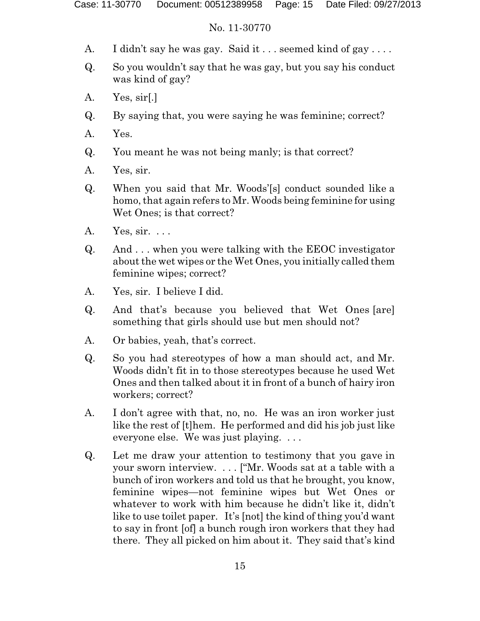- A. I didn't say he was gay. Said it ... seemed kind of gay ....
- Q. So you wouldn't say that he was gay, but you say his conduct was kind of gay?
- A. Yes, sir[.]
- Q. By saying that, you were saying he was feminine; correct?
- A. Yes.
- Q. You meant he was not being manly; is that correct?
- A. Yes, sir.
- Q. When you said that Mr. Woods'[s] conduct sounded like a homo, that again refers to Mr. Woods being feminine for using Wet Ones; is that correct?
- A. Yes, sir. . . .
- Q. And . . . when you were talking with the EEOC investigator about the wet wipes or the Wet Ones, you initially called them feminine wipes; correct?
- A. Yes, sir. I believe I did.
- Q. And that's because you believed that Wet Ones [are] something that girls should use but men should not?
- A. Or babies, yeah, that's correct.
- Q. So you had stereotypes of how a man should act, and Mr. Woods didn't fit in to those stereotypes because he used Wet Ones and then talked about it in front of a bunch of hairy iron workers; correct?
- A. I don't agree with that, no, no. He was an iron worker just like the rest of [t]hem. He performed and did his job just like everyone else. We was just playing. . . .
- Q. Let me draw your attention to testimony that you gave in your sworn interview. . . . ["Mr. Woods sat at a table with a bunch of iron workers and told us that he brought, you know, feminine wipes—not feminine wipes but Wet Ones or whatever to work with him because he didn't like it, didn't like to use toilet paper. It's [not] the kind of thing you'd want to say in front [of] a bunch rough iron workers that they had there. They all picked on him about it. They said that's kind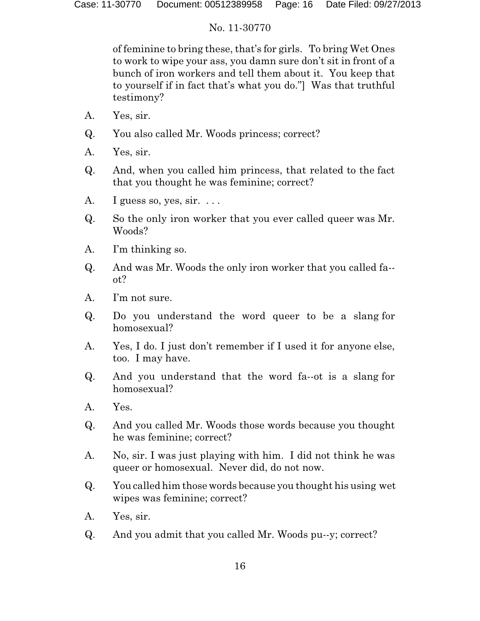of feminine to bring these, that's for girls. To bring Wet Ones to work to wipe your ass, you damn sure don't sit in front of a bunch of iron workers and tell them about it. You keep that to yourself if in fact that's what you do."] Was that truthful testimony?

- A. Yes, sir.
- Q. You also called Mr. Woods princess; correct?
- A. Yes, sir.
- Q. And, when you called him princess, that related to the fact that you thought he was feminine; correct?
- A. I guess so, yes, sir.  $\dots$
- Q. So the only iron worker that you ever called queer was Mr. Woods?
- A. I'm thinking so.
- Q. And was Mr. Woods the only iron worker that you called fa- ot?
- A. I'm not sure.
- Q. Do you understand the word queer to be a slang for homosexual?
- A. Yes, I do. I just don't remember if I used it for anyone else, too. I may have.
- Q. And you understand that the word fa--ot is a slang for homosexual?
- A. Yes.
- Q. And you called Mr. Woods those words because you thought he was feminine; correct?
- A. No, sir. I was just playing with him. I did not think he was queer or homosexual. Never did, do not now.
- Q. You called him those words because you thought his using wet wipes was feminine; correct?
- A. Yes, sir.
- Q. And you admit that you called Mr. Woods pu--y; correct?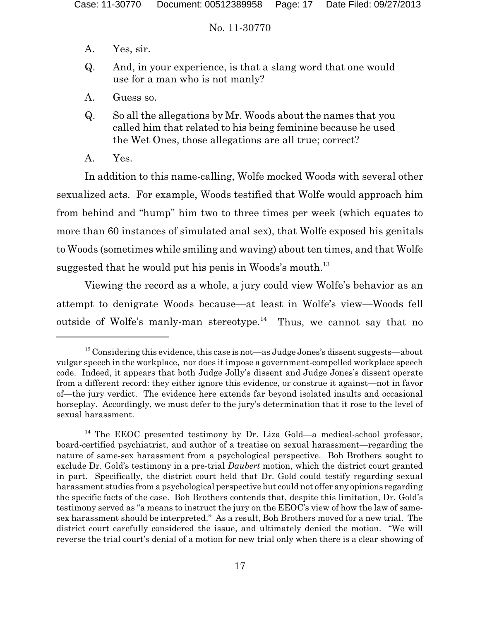- A. Yes, sir.
- Q. And, in your experience, is that a slang word that one would use for a man who is not manly?
- A. Guess so.
- Q. So all the allegations by Mr. Woods about the names that you called him that related to his being feminine because he used the Wet Ones, those allegations are all true; correct?
- A. Yes.

In addition to this name-calling, Wolfe mocked Woods with several other sexualized acts. For example, Woods testified that Wolfe would approach him from behind and "hump" him two to three times per week (which equates to more than 60 instances of simulated anal sex), that Wolfe exposed his genitals to Woods (sometimes while smiling and waving) about ten times, and that Wolfe suggested that he would put his penis in Woods's mouth.<sup>13</sup>

Viewing the record as a whole, a jury could view Wolfe's behavior as an attempt to denigrate Woods because—at least in Wolfe's view—Woods fell outside of Wolfe's manly-man stereotype.<sup>14</sup> Thus, we cannot say that no

 $13$  Considering this evidence, this case is not—as Judge Jones's dissent suggests—about vulgar speech in the workplace, nor does it impose a government-compelled workplace speech code. Indeed, it appears that both Judge Jolly's dissent and Judge Jones's dissent operate from a different record: they either ignore this evidence, or construe it against—not in favor of—the jury verdict. The evidence here extends far beyond isolated insults and occasional horseplay. Accordingly, we must defer to the jury's determination that it rose to the level of sexual harassment.

<sup>&</sup>lt;sup>14</sup> The EEOC presented testimony by Dr. Liza Gold—a medical-school professor, board-certified psychiatrist, and author of a treatise on sexual harassment—regarding the nature of same-sex harassment from a psychological perspective. Boh Brothers sought to exclude Dr. Gold's testimony in a pre-trial *Daubert* motion, which the district court granted in part. Specifically, the district court held that Dr. Gold could testify regarding sexual harassment studies from a psychological perspective but could not offer any opinions regarding the specific facts of the case. Boh Brothers contends that, despite this limitation, Dr. Gold's testimony served as "a means to instruct the jury on the EEOC's view of how the law of samesex harassment should be interpreted." As a result, Boh Brothers moved for a new trial. The district court carefully considered the issue, and ultimately denied the motion. "We will reverse the trial court's denial of a motion for new trial only when there is a clear showing of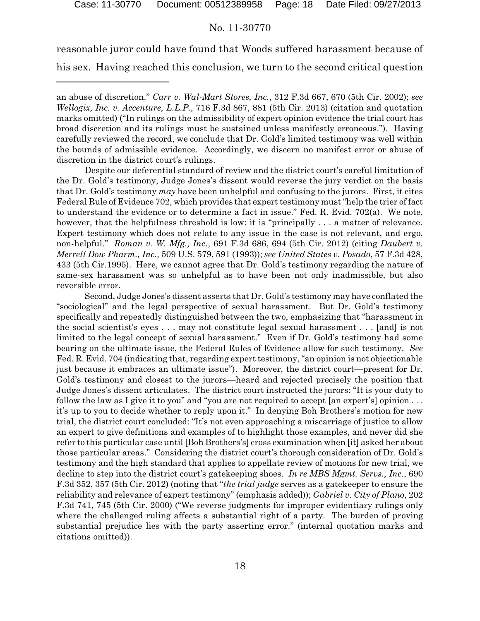reasonable juror could have found that Woods suffered harassment because of his sex. Having reached this conclusion, we turn to the second critical question

Despite our deferential standard of review and the district court's careful limitation of the Dr. Gold's testimony, Judge Jones's dissent would reverse the jury verdict on the basis that Dr. Gold's testimony *may* have been unhelpful and confusing to the jurors. First, it cites Federal Rule of Evidence 702, which provides that expert testimony must "help the trier of fact to understand the evidence or to determine a fact in issue." Fed. R. Evid. 702(a). We note, however, that the helpfulness threshold is low: it is "principally . . . a matter of relevance. Expert testimony which does not relate to any issue in the case is not relevant, and ergo, non-helpful." *Roman v. W. Mfg., Inc*., 691 F.3d 686, 694 (5th Cir. 2012) (citing *Daubert v. Merrell Dow Pharm., Inc.*, 509 U.S. 579, 591 (1993)); *see United States v. Posado*, 57 F.3d 428, 433 (5th Cir.1995). Here, we cannot agree that Dr. Gold's testimony regarding the nature of same-sex harassment was so unhelpful as to have been not only inadmissible, but also reversible error.

Second, Judge Jones's dissent asserts that Dr. Gold's testimony may have conflated the "sociological" and the legal perspective of sexual harassment. But Dr. Gold's testimony specifically and repeatedly distinguished between the two, emphasizing that "harassment in the social scientist's eyes . . . may not constitute legal sexual harassment . . . [and] is not limited to the legal concept of sexual harassment." Even if Dr. Gold's testimony had some bearing on the ultimate issue, the Federal Rules of Evidence allow for such testimony. *See* Fed. R. Evid. 704 (indicating that, regarding expert testimony,"an opinion is not objectionable just because it embraces an ultimate issue"). Moreover, the district court—present for Dr. Gold's testimony and closest to the jurors—heard and rejected precisely the position that Judge Jones's dissent articulates. The district court instructed the jurors: "It is your duty to follow the law as I give it to you" and "you are not required to accept [an expert's] opinion . . . it's up to you to decide whether to reply upon it." In denying Boh Brothers's motion for new trial, the district court concluded: "It's not even approaching a miscarriage of justice to allow an expert to give definitions and examples of to highlight those examples, and never did she refer to this particular case until [Boh Brothers's] cross examination when [it] asked her about those particular areas." Considering the district court's thorough consideration of Dr. Gold's testimony and the high standard that applies to appellate review of motions for new trial, we decline to step into the district court's gatekeeping shoes. *In re MBS Mgmt. Servs., Inc*., 690 F.3d 352, 357 (5th Cir. 2012) (noting that "*the trial judge* serves as a gatekeeper to ensure the reliability and relevance of expert testimony" (emphasis added)); *Gabriel v. City of Plano*, 202 F.3d 741, 745 (5th Cir. 2000) ("We reverse judgments for improper evidentiary rulings only where the challenged ruling affects a substantial right of a party. The burden of proving substantial prejudice lies with the party asserting error." (internal quotation marks and citations omitted)).

an abuse of discretion." *Carr v. Wal-Mart Stores, Inc.*, 312 F.3d 667, 670 (5th Cir. 2002); *see Wellogix, Inc. v. Accenture, L.L.P.*, 716 F.3d 867, 881 (5th Cir. 2013) (citation and quotation marks omitted) ("In rulings on the admissibility of expert opinion evidence the trial court has broad discretion and its rulings must be sustained unless manifestly erroneous."). Having carefully reviewed the record, we conclude that Dr. Gold's limited testimony was well within the bounds of admissible evidence. Accordingly, we discern no manifest error or abuse of discretion in the district court's rulings.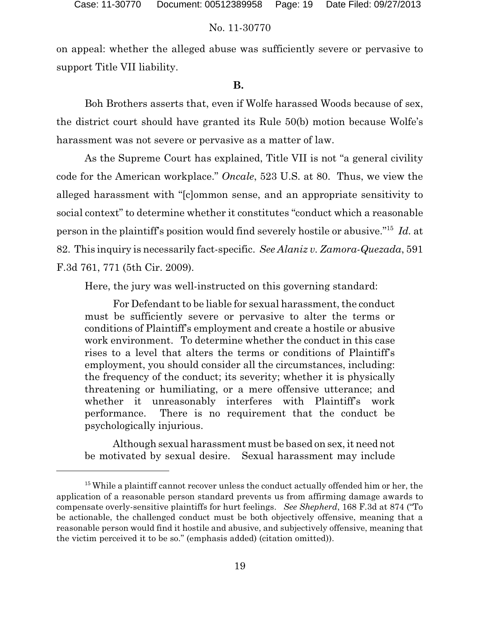on appeal: whether the alleged abuse was sufficiently severe or pervasive to support Title VII liability.

#### **B.**

Boh Brothers asserts that, even if Wolfe harassed Woods because of sex, the district court should have granted its Rule 50(b) motion because Wolfe's harassment was not severe or pervasive as a matter of law.

As the Supreme Court has explained, Title VII is not "a general civility code for the American workplace." *Oncale*, 523 U.S. at 80. Thus, we view the alleged harassment with "[c]ommon sense, and an appropriate sensitivity to social context" to determine whether it constitutes "conduct which a reasonable person in the plaintiff's position would find severely hostile or abusive."<sup>15</sup> *Id.* at 82. This inquiry is necessarily fact-specific. *See Alaniz v. Zamora-Quezada*, 591 F.3d 761, 771 (5th Cir. 2009).

Here, the jury was well-instructed on this governing standard:

For Defendant to be liable for sexual harassment, the conduct must be sufficiently severe or pervasive to alter the terms or conditions of Plaintiff's employment and create a hostile or abusive work environment. To determine whether the conduct in this case rises to a level that alters the terms or conditions of Plaintiff's employment, you should consider all the circumstances, including: the frequency of the conduct; its severity; whether it is physically threatening or humiliating, or a mere offensive utterance; and whether it unreasonably interferes with Plaintiff's work performance. There is no requirement that the conduct be psychologically injurious.

Although sexual harassment must be based on sex, it need not be motivated by sexual desire. Sexual harassment may include

 $15$  While a plaintiff cannot recover unless the conduct actually offended him or her, the application of a reasonable person standard prevents us from affirming damage awards to compensate overly-sensitive plaintiffs for hurt feelings. *See Shepherd*, 168 F.3d at 874 ("To be actionable, the challenged conduct must be both objectively offensive, meaning that a reasonable person would find it hostile and abusive, and subjectively offensive, meaning that the victim perceived it to be so." (emphasis added) (citation omitted)).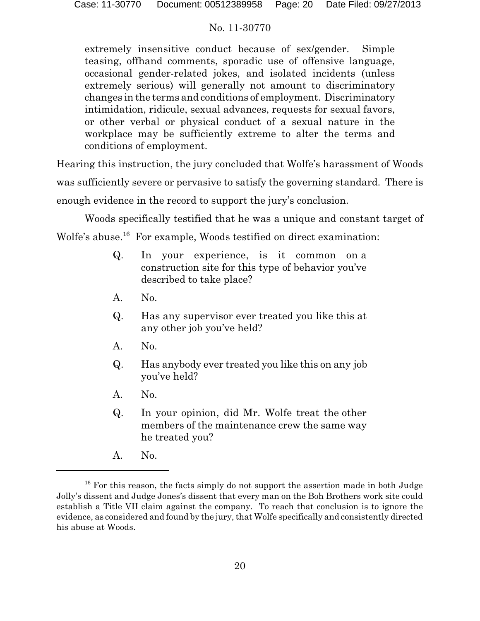extremely insensitive conduct because of sex/gender. Simple teasing, offhand comments, sporadic use of offensive language, occasional gender-related jokes, and isolated incidents (unless extremely serious) will generally not amount to discriminatory changes in the terms and conditions of employment. Discriminatory intimidation, ridicule, sexual advances, requests for sexual favors, or other verbal or physical conduct of a sexual nature in the workplace may be sufficiently extreme to alter the terms and conditions of employment.

Hearing this instruction, the jury concluded that Wolfe's harassment of Woods was sufficiently severe or pervasive to satisfy the governing standard. There is enough evidence in the record to support the jury's conclusion.

Woods specifically testified that he was a unique and constant target of Wolfe's abuse.<sup>16</sup> For example, Woods testified on direct examination:

- Q. In your experience, is it common on a construction site for this type of behavior you've described to take place?
- A. No.
- Q. Has any supervisor ever treated you like this at any other job you've held?
- A. No.
- Q. Has anybody ever treated you like this on any job you've held?
- A. No.
- Q. In your opinion, did Mr. Wolfe treat the other members of the maintenance crew the same way he treated you?
- A. No.

 $16$  For this reason, the facts simply do not support the assertion made in both Judge Jolly's dissent and Judge Jones's dissent that every man on the Boh Brothers work site could establish a Title VII claim against the company. To reach that conclusion is to ignore the evidence, as considered and found by the jury, that Wolfe specifically and consistently directed his abuse at Woods.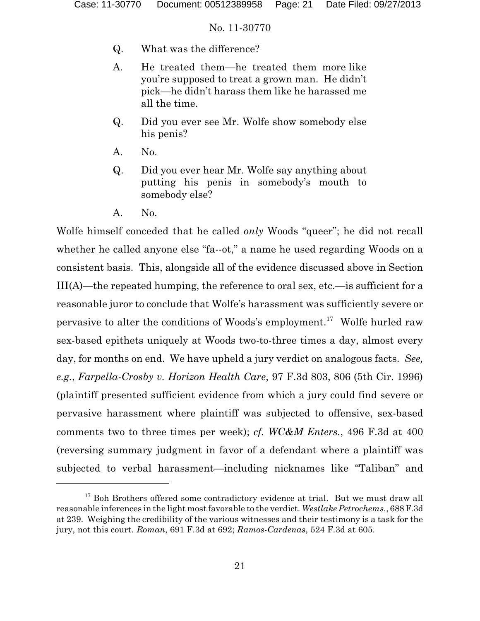- Q. What was the difference?
- A. He treated them—he treated them more like you're supposed to treat a grown man. He didn't pick—he didn't harass them like he harassed me all the time.
- Q. Did you ever see Mr. Wolfe show somebody else his penis?
- A. No.
- Q. Did you ever hear Mr. Wolfe say anything about putting his penis in somebody's mouth to somebody else?
- A. No.

Wolfe himself conceded that he called *only* Woods "queer"; he did not recall whether he called anyone else "fa--ot," a name he used regarding Woods on a consistent basis. This, alongside all of the evidence discussed above in Section III(A)—the repeated humping, the reference to oral sex, etc.—is sufficient for a reasonable juror to conclude that Wolfe's harassment was sufficiently severe or pervasive to alter the conditions of Woods's employment.<sup>17</sup> Wolfe hurled raw sex-based epithets uniquely at Woods two-to-three times a day, almost every day, for months on end. We have upheld a jury verdict on analogous facts. *See, e.g.*, *Farpella-Crosby v. Horizon Health Care*, 97 F.3d 803, 806 (5th Cir. 1996) (plaintiff presented sufficient evidence from which a jury could find severe or pervasive harassment where plaintiff was subjected to offensive, sex-based comments two to three times per week); *cf. WC&M Enters.*, 496 F.3d at 400 (reversing summary judgment in favor of a defendant where a plaintiff was subjected to verbal harassment—including nicknames like "Taliban" and

 $17$  Boh Brothers offered some contradictory evidence at trial. But we must draw all reasonable inferences in the light most favorable to the verdict. *Westlake Petrochems.*, 688F.3d at 239. Weighing the credibility of the various witnesses and their testimony is a task for the jury, not this court. *Roman*, 691 F.3d at 692; *Ramos-Cardenas*, 524 F.3d at 605.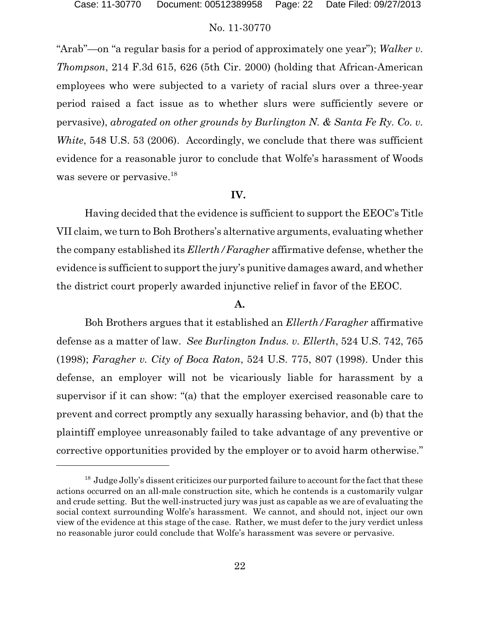"Arab"—on "a regular basis for a period of approximately one year"); *Walker v. Thompson*, 214 F.3d 615, 626 (5th Cir. 2000) (holding that African-American employees who were subjected to a variety of racial slurs over a three-year period raised a fact issue as to whether slurs were sufficiently severe or pervasive), *abrogated on other grounds by Burlington N. & Santa Fe Ry. Co. v. White*, 548 U.S. 53 (2006). Accordingly, we conclude that there was sufficient evidence for a reasonable juror to conclude that Wolfe's harassment of Woods was severe or pervasive.<sup>18</sup>

### **IV.**

Having decided that the evidence is sufficient to support the EEOC's Title VII claim, we turn to Boh Brothers's alternative arguments, evaluating whether the company established its *Ellerth/Faragher* affirmative defense, whether the evidence is sufficient to support the jury's punitive damages award, and whether the district court properly awarded injunctive relief in favor of the EEOC.

#### **A.**

Boh Brothers argues that it established an *Ellerth/Faragher* affirmative defense as a matter of law. *See Burlington Indus. v. Ellerth*, 524 U.S. 742, 765 (1998); *Faragher v. City of Boca Raton*, 524 U.S. 775, 807 (1998). Under this defense, an employer will not be vicariously liable for harassment by a supervisor if it can show: "(a) that the employer exercised reasonable care to prevent and correct promptly any sexually harassing behavior, and (b) that the plaintiff employee unreasonably failed to take advantage of any preventive or corrective opportunities provided by the employer or to avoid harm otherwise."

<sup>&</sup>lt;sup>18</sup> Judge Jolly's dissent criticizes our purported failure to account for the fact that these actions occurred on an all-male construction site, which he contends is a customarily vulgar and crude setting. But the well-instructed jury was just as capable as we are of evaluating the social context surrounding Wolfe's harassment. We cannot, and should not, inject our own view of the evidence at this stage of the case. Rather, we must defer to the jury verdict unless no reasonable juror could conclude that Wolfe's harassment was severe or pervasive.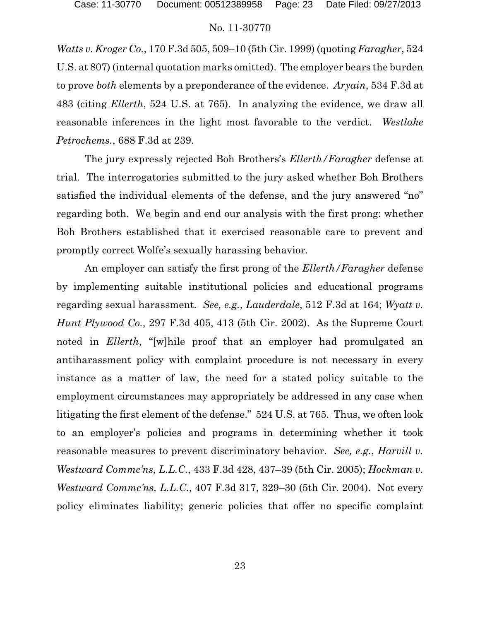*Watts v. Kroger Co.*, 170 F.3d 505, 509–10 (5th Cir. 1999) (quoting *Faragher*, 524 U.S. at 807) (internal quotation marks omitted). The employer bears the burden to prove *both* elements by a preponderance of the evidence. *Aryain*, 534 F.3d at 483 (citing *Ellerth*, 524 U.S. at 765). In analyzing the evidence, we draw all reasonable inferences in the light most favorable to the verdict. *Westlake Petrochems.*, 688 F.3d at 239.

The jury expressly rejected Boh Brothers's *Ellerth/Faragher* defense at trial. The interrogatories submitted to the jury asked whether Boh Brothers satisfied the individual elements of the defense, and the jury answered "no" regarding both. We begin and end our analysis with the first prong: whether Boh Brothers established that it exercised reasonable care to prevent and promptly correct Wolfe's sexually harassing behavior.

An employer can satisfy the first prong of the *Ellerth/Faragher* defense by implementing suitable institutional policies and educational programs regarding sexual harassment*. See, e.g.*, *Lauderdale*, 512 F.3d at 164; *Wyatt v. Hunt Plywood Co.*, 297 F.3d 405, 413 (5th Cir. 2002). As the Supreme Court noted in *Ellerth*, "[w]hile proof that an employer had promulgated an antiharassment policy with complaint procedure is not necessary in every instance as a matter of law, the need for a stated policy suitable to the employment circumstances may appropriately be addressed in any case when litigating the first element of the defense." 524 U.S. at 765. Thus, we often look to an employer's policies and programs in determining whether it took reasonable measures to prevent discriminatory behavior. *See, e.g.*, *Harvill v. Westward Commc'ns, L.L.C.*, 433 F.3d 428, 437–39 (5th Cir. 2005); *Hockman v. Westward Commc'ns, L.L.C.*, 407 F.3d 317, 329–30 (5th Cir. 2004). Not every policy eliminates liability; generic policies that offer no specific complaint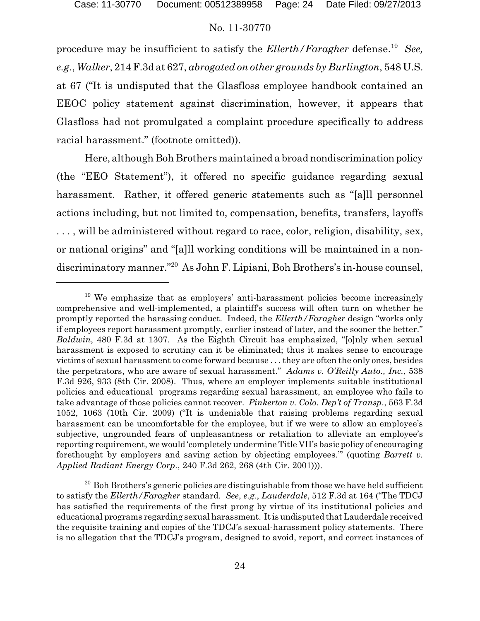procedure may be insufficient to satisfy the *Ellerth/Faragher* defense. <sup>19</sup> *See, e.g.*, *Walker*, 214 F.3d at 627, *abrogated on other grounds by Burlington*, 548 U.S. at 67 ("It is undisputed that the Glasfloss employee handbook contained an EEOC policy statement against discrimination, however, it appears that Glasfloss had not promulgated a complaint procedure specifically to address racial harassment." (footnote omitted)).

Here, although Boh Brothers maintained a broad nondiscrimination policy (the "EEO Statement"), it offered no specific guidance regarding sexual harassment. Rather, it offered generic statements such as "[a]ll personnel actions including, but not limited to, compensation, benefits, transfers, layoffs . . . , will be administered without regard to race, color, religion, disability, sex, or national origins" and "[a]ll working conditions will be maintained in a nondiscriminatory manner."<sup>20</sup> As John F. Lipiani, Boh Brothers's in-house counsel,

<sup>&</sup>lt;sup>19</sup> We emphasize that as employers' anti-harassment policies become increasingly comprehensive and well-implemented, a plaintiff's success will often turn on whether he promptly reported the harassing conduct. Indeed, the *Ellerth/Faragher* design "works only if employees report harassment promptly, earlier instead of later, and the sooner the better." *Baldwin*, 480 F.3d at 1307. As the Eighth Circuit has emphasized, "[o]nly when sexual harassment is exposed to scrutiny can it be eliminated; thus it makes sense to encourage victims of sexual harassment to come forward because . . . they are often the only ones, besides the perpetrators, who are aware of sexual harassment." *Adams v. O'Reilly Auto., Inc.*, 538 F.3d 926, 933 (8th Cir. 2008). Thus, where an employer implements suitable institutional policies and educational programs regarding sexual harassment, an employee who fails to take advantage of those policies cannot recover. *Pinkerton v. Colo. Dep't of Transp*., 563 F.3d 1052, 1063 (10th Cir. 2009) ("It is undeniable that raising problems regarding sexual harassment can be uncomfortable for the employee, but if we were to allow an employee's subjective, ungrounded fears of unpleasantness or retaliation to alleviate an employee's reporting requirement, we would 'completely undermine Title VII's basic policy of encouraging forethought by employers and saving action by objecting employees.'" (quoting *Barrett v. Applied Radiant Energy Corp*., 240 F.3d 262, 268 (4th Cir. 2001))).

 $20$  Boh Brothers's generic policies are distinguishable from those we have held sufficient to satisfy the *Ellerth/Faragher* standard. *See*, *e.g.*, *Lauderdale*, 512 F.3d at 164 ("The TDCJ has satisfied the requirements of the first prong by virtue of its institutional policies and educational programs regarding sexual harassment. Itis undisputed thatLauderdale received the requisite training and copies of the TDCJ's sexual-harassment policy statements. There is no allegation that the TDCJ's program, designed to avoid, report, and correct instances of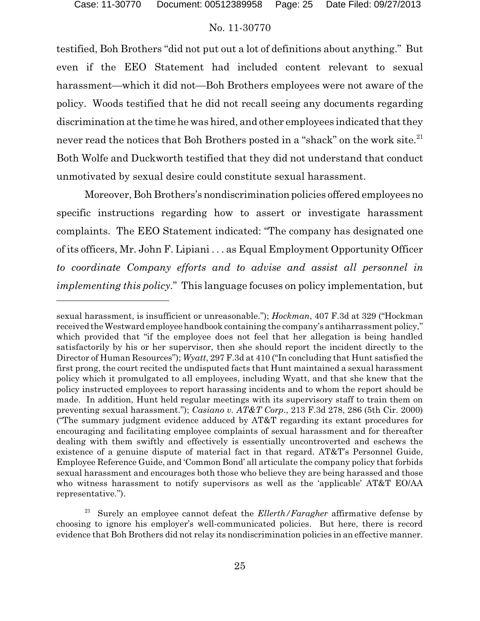testified, Boh Brothers "did not put out a lot of definitions about anything." But even if the EEO Statement had included content relevant to sexual harassment—which it did not—Boh Brothers employees were not aware of the policy. Woods testified that he did not recall seeing any documents regarding discrimination at the time he was hired, and other employees indicated that they never read the notices that Boh Brothers posted in a "shack" on the work site.<sup>21</sup> Both Wolfe and Duckworth testified that they did not understand that conduct unmotivated by sexual desire could constitute sexual harassment.

Moreover, Boh Brothers's nondiscrimination policies offered employees no specific instructions regarding how to assert or investigate harassment complaints. The EEO Statement indicated: "The company has designated one of its officers, Mr. John F. Lipiani . . . as Equal Employment Opportunity Officer *to coordinate Company efforts and to advise and assist all personnel in implementing this policy*." This language focuses on policy implementation, but

sexual harassment, is insufficient or unreasonable."); *Hockman*, 407 F.3d at 329 ("Hockman received the Westward employee handbook containing the company's antiharrassment policy," which provided that "if the employee does not feel that her allegation is being handled satisfactorily by his or her supervisor, then she should report the incident directly to the Director of Human Resources"); *Wyatt*, 297 F.3d at 410 ("In concluding that Hunt satisfied the first prong, the court recited the undisputed facts that Hunt maintained a sexual harassment policy which it promulgated to all employees, including Wyatt, and that she knew that the policy instructed employees to report harassing incidents and to whom the report should be made. In addition, Hunt held regular meetings with its supervisory staff to train them on preventing sexual harassment."); *Casiano v. AT&T Corp*., 213 F.3d 278, 286 (5th Cir. 2000) ("The summary judgment evidence adduced by AT&T regarding its extant procedures for encouraging and facilitating employee complaints of sexual harassment and for thereafter dealing with them swiftly and effectively is essentially uncontroverted and eschews the existence of a genuine dispute of material fact in that regard. AT&T's Personnel Guide, Employee Reference Guide, and 'Common Bond' all articulate the company policy that forbids sexual harassment and encourages both those who believe they are being harassed and those who witness harassment to notify supervisors as well as the 'applicable' AT&T EO/AA representative.").

<sup>21</sup> Surely an employee cannot defeat the *Ellerth/Faragher* affirmative defense by choosing to ignore his employer's well-communicated policies. But here, there is record evidence that Boh Brothers did not relay its nondiscrimination policies in an effective manner.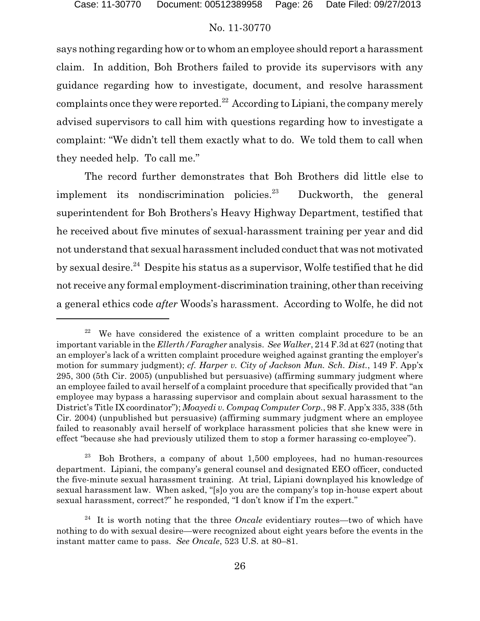says nothing regarding how or to whom an employee should report a harassment claim. In addition, Boh Brothers failed to provide its supervisors with any guidance regarding how to investigate, document, and resolve harassment complaints once they were reported.<sup>22</sup> According to Lipiani, the company merely advised supervisors to call him with questions regarding how to investigate a complaint: "We didn't tell them exactly what to do. We told them to call when they needed help. To call me."

The record further demonstrates that Boh Brothers did little else to implement its nondiscrimination policies.<sup>23</sup> Duckworth, the general superintendent for Boh Brothers's Heavy Highway Department, testified that he received about five minutes of sexual-harassment training per year and did not understand that sexual harassment included conduct that was not motivated by sexual desire.<sup>24</sup> Despite his status as a supervisor, Wolfe testified that he did not receive any formal employment-discrimination training, other than receiving a general ethics code *after* Woods's harassment. According to Wolfe, he did not

We have considered the existence of a written complaint procedure to be an important variable in the *Ellerth/Faragher* analysis. *See Walker*, 214 F.3d at 627 (noting that an employer's lack of a written complaint procedure weighed against granting the employer's motion for summary judgment); *cf. Harper v. City of Jackson Mun. Sch. Dist.*, 149 F. App'x 295, 300 (5th Cir. 2005) (unpublished but persuasive) (affirming summary judgment where an employee failed to avail herself of a complaint procedure that specifically provided that "an employee may bypass a harassing supervisor and complain about sexual harassment to the District's Title IX coordinator"); *Moayedi v. Compaq Computer Corp.*, 98 F. App'x 335, 338 (5th Cir. 2004) (unpublished but persuasive) (affirming summary judgment where an employee failed to reasonably avail herself of workplace harassment policies that she knew were in effect "because she had previously utilized them to stop a former harassing co-employee").

 $23$  Boh Brothers, a company of about 1,500 employees, had no human-resources department. Lipiani, the company's general counsel and designated EEO officer, conducted the five-minute sexual harassment training. At trial, Lipiani downplayed his knowledge of sexual harassment law. When asked, "[s]o you are the company's top in-house expert about sexual harassment, correct?" he responded, "I don't know if I'm the expert."

<sup>&</sup>lt;sup>24</sup> It is worth noting that the three *Oncale* evidentiary routes—two of which have nothing to do with sexual desire—were recognized about eight years before the events in the instant matter came to pass. *See Oncale*, 523 U.S. at 80–81.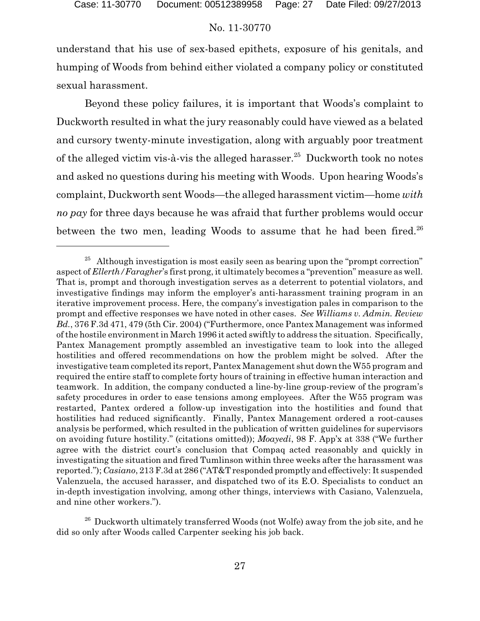understand that his use of sex-based epithets, exposure of his genitals, and humping of Woods from behind either violated a company policy or constituted sexual harassment.

Beyond these policy failures, it is important that Woods's complaint to Duckworth resulted in what the jury reasonably could have viewed as a belated and cursory twenty-minute investigation, along with arguably poor treatment of the alleged victim vis-à-vis the alleged harasser.<sup>25</sup> Duckworth took no notes and asked no questions during his meeting with Woods. Upon hearing Woods's complaint, Duckworth sent Woods—the alleged harassment victim—home *with no pay* for three days because he was afraid that further problems would occur between the two men, leading Woods to assume that he had been fired. $26$ 

 $25$  Although investigation is most easily seen as bearing upon the "prompt correction" aspect of *Ellerth/Faragher*'s first prong, it ultimately becomes a "prevention" measure as well. That is, prompt and thorough investigation serves as a deterrent to potential violators, and investigative findings may inform the employer's anti-harassment training program in an iterative improvement process. Here, the company's investigation pales in comparison to the prompt and effective responses we have noted in other cases. *See Williams v. Admin. Review Bd.*, 376 F.3d 471, 479 (5th Cir. 2004) ("Furthermore, once Pantex Management was informed ofthe hostile environment in March 1996 it acted swiftly to address the situation. Specifically, Pantex Management promptly assembled an investigative team to look into the alleged hostilities and offered recommendations on how the problem might be solved. After the investigative team completed its report, Pantex Management shut down the W55 program and required the entire staff to complete forty hours of training in effective human interaction and teamwork. In addition, the company conducted a line-by-line group-review of the program's safety procedures in order to ease tensions among employees. After the W55 program was restarted, Pantex ordered a follow-up investigation into the hostilities and found that hostilities had reduced significantly. Finally, Pantex Management ordered a root-causes analysis be performed, which resulted in the publication of written guidelines for supervisors on avoiding future hostility." (citations omitted)); *Moayedi*, 98 F. App'x at 338 ("We further agree with the district court's conclusion that Compaq acted reasonably and quickly in investigating the situation and fired Tumlinson within three weeks after the harassment was reported."); *Casiano*, 213 F.3d at 286 ("AT&T responded promptly and effectively: It suspended Valenzuela, the accused harasser, and dispatched two of its E.O. Specialists to conduct an in-depth investigation involving, among other things, interviews with Casiano, Valenzuela, and nine other workers.").

<sup>&</sup>lt;sup>26</sup> Duckworth ultimately transferred Woods (not Wolfe) away from the job site, and he did so only after Woods called Carpenter seeking his job back.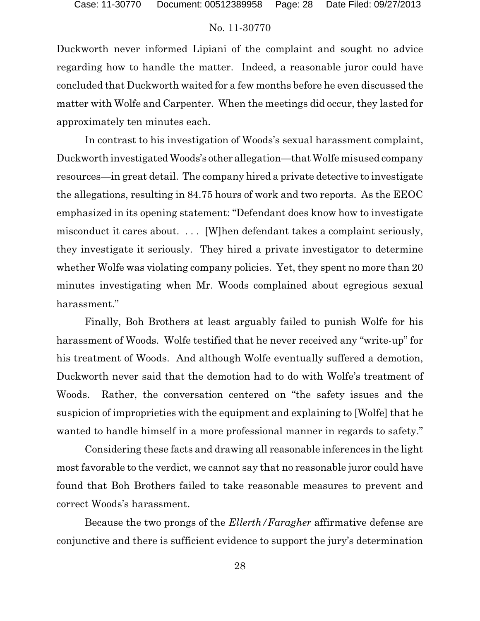Duckworth never informed Lipiani of the complaint and sought no advice regarding how to handle the matter. Indeed, a reasonable juror could have concluded that Duckworth waited for a few months before he even discussed the matter with Wolfe and Carpenter. When the meetings did occur, they lasted for approximately ten minutes each.

In contrast to his investigation of Woods's sexual harassment complaint, Duckworth investigated Woods's other allegation—that Wolfe misused company resources—in great detail. The company hired a private detective to investigate the allegations, resulting in 84.75 hours of work and two reports. As the EEOC emphasized in its opening statement: "Defendant does know how to investigate misconduct it cares about. . . . [W]hen defendant takes a complaint seriously, they investigate it seriously. They hired a private investigator to determine whether Wolfe was violating company policies. Yet, they spent no more than 20 minutes investigating when Mr. Woods complained about egregious sexual harassment."

Finally, Boh Brothers at least arguably failed to punish Wolfe for his harassment of Woods. Wolfe testified that he never received any "write-up" for his treatment of Woods. And although Wolfe eventually suffered a demotion, Duckworth never said that the demotion had to do with Wolfe's treatment of Woods. Rather, the conversation centered on "the safety issues and the suspicion of improprieties with the equipment and explaining to [Wolfe] that he wanted to handle himself in a more professional manner in regards to safety."

Considering these facts and drawing all reasonable inferences in the light most favorable to the verdict, we cannot say that no reasonable juror could have found that Boh Brothers failed to take reasonable measures to prevent and correct Woods's harassment.

Because the two prongs of the *Ellerth/Faragher* affirmative defense are conjunctive and there is sufficient evidence to support the jury's determination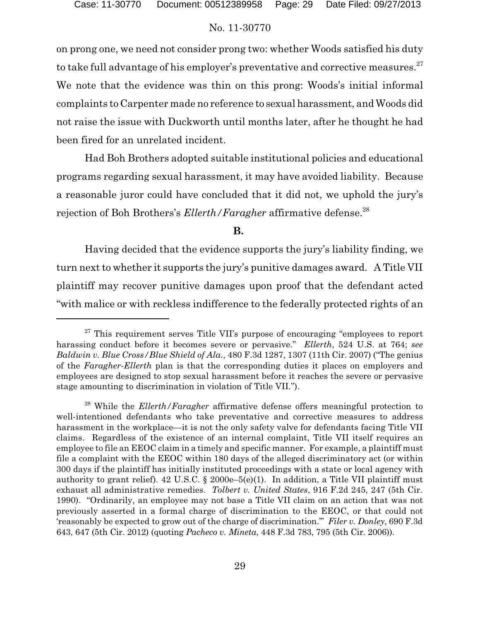on prong one, we need not consider prong two: whether Woods satisfied his duty to take full advantage of his employer's preventative and corrective measures. $^{27}$ We note that the evidence was thin on this prong: Woods's initial informal complaints to Carpenter made no reference to sexual harassment, and Woods did not raise the issue with Duckworth until months later, after he thought he had been fired for an unrelated incident.

Had Boh Brothers adopted suitable institutional policies and educational programs regarding sexual harassment, it may have avoided liability. Because a reasonable juror could have concluded that it did not, we uphold the jury's rejection of Boh Brothers's *Ellerth/Faragher* affirmative defense.<sup>28</sup>

**B.** 

Having decided that the evidence supports the jury's liability finding, we turn next to whether it supports the jury's punitive damages award. A Title VII plaintiff may recover punitive damages upon proof that the defendant acted "with malice or with reckless indifference to the federally protected rights of an

 $27$  This requirement serves Title VII's purpose of encouraging "employees to report harassing conduct before it becomes severe or pervasive." *Ellerth*, 524 U.S. at 764; *see Baldwin v. Blue Cross/Blue Shield of Ala.*, 480 F.3d 1287, 1307 (11th Cir. 2007) ("The genius of the *Faragher-Ellerth* plan is that the corresponding duties it places on employers and employees are designed to stop sexual harassment before it reaches the severe or pervasive stage amounting to discrimination in violation of Title VII.").

<sup>28</sup> While the *Ellerth/Faragher* affirmative defense offers meaningful protection to well-intentioned defendants who take preventative and corrective measures to address harassment in the workplace—it is not the only safety valve for defendants facing Title VII claims. Regardless of the existence of an internal complaint, Title VII itself requires an employee to file an EEOC claim in a timely and specific manner. For example, a plaintiff must file a complaint with the EEOC within 180 days of the alleged discriminatory act (or within 300 days if the plaintiff has initially instituted proceedings with a state or local agency with authority to grant relief). 42 U.S.C. § 2000e–5(e)(1). In addition, a Title VII plaintiff must exhaust all administrative remedies. *Tolbert v. United States*, 916 F.2d 245, 247 (5th Cir. 1990). "Ordinarily, an employee may not base a Title VII claim on an action that was not previously asserted in a formal charge of discrimination to the EEOC, or that could not 'reasonably be expected to grow out of the charge of discrimination.'" *Filer v. Donley*, 690 F.3d 643, 647 (5th Cir. 2012) (quoting *Pacheco v. Mineta*, 448 F.3d 783, 795 (5th Cir. 2006)).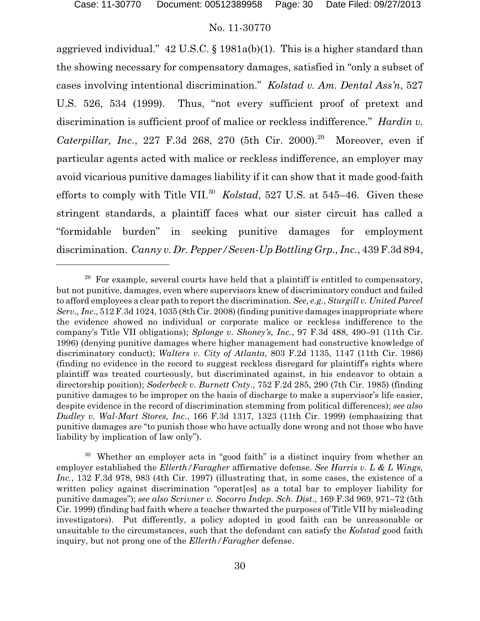aggrieved individual." 42 U.S.C. § 1981a(b)(1). This is a higher standard than the showing necessary for compensatory damages, satisfied in "only a subset of cases involving intentional discrimination." *Kolstad v. Am. Dental Ass'n*, 527 U.S. 526, 534 (1999). Thus, "not every sufficient proof of pretext and discrimination is sufficient proof of malice or reckless indifference." *Hardin v. Caterpillar, Inc.*, 227 F.3d 268, 270 (5th Cir. 2000).<sup>29</sup> Moreover, even if particular agents acted with malice or reckless indifference, an employer may avoid vicarious punitive damages liability if it can show that it made good-faith efforts to comply with Title VII.<sup>30</sup> *Kolstad*, 527 U.S. at 545–46. Given these stringent standards, a plaintiff faces what our sister circuit has called a "formidable burden" in seeking punitive damages for employment discrimination. *Canny v. Dr. Pepper/Seven-Up Bottling Grp., Inc.*, 439 F.3d 894,

 $29$  For example, several courts have held that a plaintiff is entitled to compensatory, but not punitive, damages, even where supervisors knew of discriminatory conduct and failed to afford employees a clear path to report the discrimination. *See, e.g.*, *Sturgill v. United Parcel Serv., Inc*., 512 F.3d 1024, 1035 (8th Cir. 2008) (finding punitive damages inappropriate where the evidence showed no individual or corporate malice or reckless indifference to the company's Title VII obligations); *Splonge v. Shoney's, Inc.*, 97 F.3d 488, 490–91 (11th Cir. 1996) (denying punitive damages where higher management had constructive knowledge of discriminatory conduct); *Walters v. City of Atlanta*, 803 F.2d 1135, 1147 (11th Cir. 1986) (finding no evidence in the record to suggest reckless disregard for plaintiff's rights where plaintiff was treated courteously, but discriminated against, in his endeavor to obtain a directorship position); *Soderbeck v. Burnett Cnty*., 752 F.2d 285, 290 (7th Cir. 1985) (finding punitive damages to be improper on the basis of discharge to make a supervisor's life easier, despite evidence in the record of discrimination stemming from political differences); *see also Dudley v. Wal-Mart Stores, Inc*., 166 F.3d 1317, 1323 (11th Cir. 1999) (emphasizing that punitive damages are "to punish those who have actually done wrong and not those who have liability by implication of law only").

<sup>&</sup>lt;sup>30</sup> Whether an employer acts in "good faith" is a distinct inquiry from whether an employer established the *Ellerth/Faragher* affirmative defense. *See Harris v. L & L Wings, Inc.*, 132 F.3d 978, 983 (4th Cir. 1997) (illustrating that, in some cases, the existence of a written policy against discrimination "operat[es] as a total bar to employer liability for punitive damages"); *see also Scrivner v. Socorro Indep. Sch. Dist.*, 169 F.3d 969, 971–72 (5th Cir. 1999) (finding bad faith where a teacher thwarted the purposes of Title VII by misleading investigators). Put differently, a policy adopted in good faith can be unreasonable or unsuitable to the circumstances, such that the defendant can satisfy the *Kolstad* good faith inquiry, but not prong one of the *Ellerth/Faragher* defense.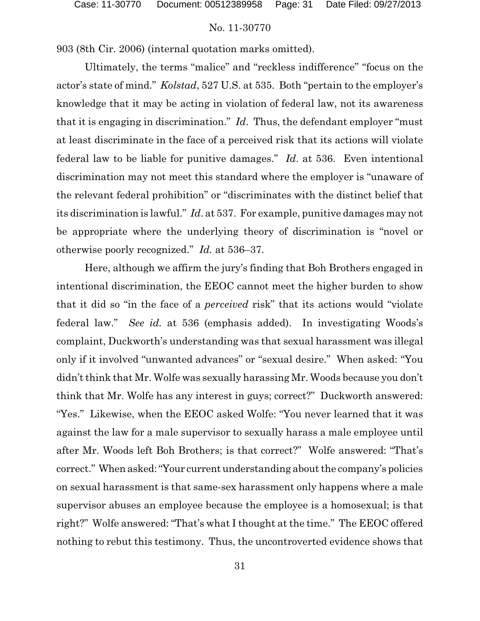903 (8th Cir. 2006) (internal quotation marks omitted).

Ultimately, the terms "malice" and "reckless indifference" "focus on the actor's state of mind." *Kolstad*, 527 U.S. at 535. Both "pertain to the employer's knowledge that it may be acting in violation of federal law, not its awareness that it is engaging in discrimination." *Id*. Thus, the defendant employer "must at least discriminate in the face of a perceived risk that its actions will violate federal law to be liable for punitive damages." *Id*. at 536. Even intentional discrimination may not meet this standard where the employer is "unaware of the relevant federal prohibition" or "discriminates with the distinct belief that its discrimination is lawful." *Id*. at 537. For example, punitive damages may not be appropriate where the underlying theory of discrimination is "novel or otherwise poorly recognized." *Id.* at 536–37.

Here, although we affirm the jury's finding that Boh Brothers engaged in intentional discrimination, the EEOC cannot meet the higher burden to show that it did so "in the face of a *perceived* risk" that its actions would "violate federal law." *See id.* at 536 (emphasis added). In investigating Woods's complaint, Duckworth's understanding was that sexual harassment was illegal only if it involved "unwanted advances" or "sexual desire." When asked: "You didn't think that Mr. Wolfe was sexually harassing Mr. Woods because you don't think that Mr. Wolfe has any interest in guys; correct?" Duckworth answered: "Yes." Likewise, when the EEOC asked Wolfe: "You never learned that it was against the law for a male supervisor to sexually harass a male employee until after Mr. Woods left Boh Brothers; is that correct?" Wolfe answered: "That's correct." When asked:"Your current understanding about the company's policies on sexual harassment is that same-sex harassment only happens where a male supervisor abuses an employee because the employee is a homosexual; is that right?" Wolfe answered: "That's what I thought at the time." The EEOC offered nothing to rebut this testimony. Thus, the uncontroverted evidence shows that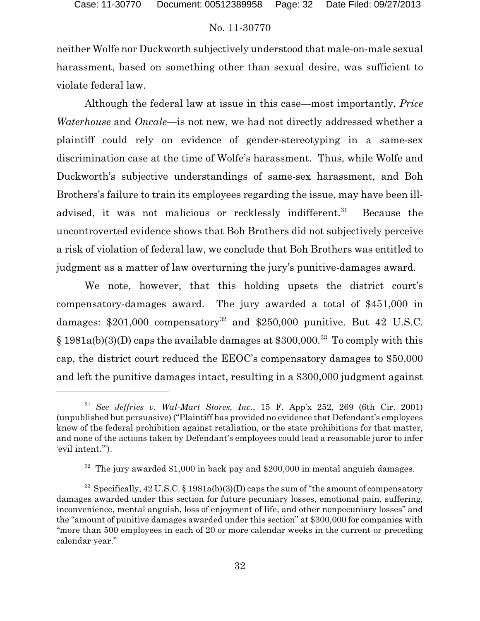neither Wolfe nor Duckworth subjectively understood that male-on-male sexual harassment, based on something other than sexual desire, was sufficient to violate federal law.

Although the federal law at issue in this case—most importantly, *Price Waterhouse* and *Oncale*—is not new, we had not directly addressed whether a plaintiff could rely on evidence of gender-stereotyping in a same-sex discrimination case at the time of Wolfe's harassment. Thus, while Wolfe and Duckworth's subjective understandings of same-sex harassment, and Boh Brothers's failure to train its employees regarding the issue, may have been illadvised, it was not malicious or recklessly indifferent.<sup>31</sup> Because the uncontroverted evidence shows that Boh Brothers did not subjectively perceive a risk of violation of federal law, we conclude that Boh Brothers was entitled to judgment as a matter of law overturning the jury's punitive-damages award.

We note, however, that this holding upsets the district court's compensatory-damages award. The jury awarded a total of \$451,000 in damages: \$201,000 compensatory<sup>32</sup> and \$250,000 punitive. But 42 U.S.C.  $§ 1981a(b)(3)(D)$  caps the available damages at \$300,000.<sup>33</sup> To comply with this cap, the district court reduced the EEOC's compensatory damages to \$50,000 and left the punitive damages intact, resulting in a \$300,000 judgment against

<sup>31</sup> *See Jeffries v. Wal-Mart Stores, Inc.*, 15 F. App'x 252, 269 (6th Cir. 2001) (unpublished but persuasive) ("Plaintiff has provided no evidence that Defendant's employees knew of the federal prohibition against retaliation, or the state prohibitions for that matter, and none of the actions taken by Defendant's employees could lead a reasonable juror to infer 'evil intent.'").

 $32$  The jury awarded \$1,000 in back pay and \$200,000 in mental anguish damages.

 $33$  Specifically, 42 U.S.C. § 1981a(b)(3)(D) caps the sum of "the amount of compensatory damages awarded under this section for future pecuniary losses, emotional pain, suffering, inconvenience, mental anguish, loss of enjoyment of life, and other nonpecuniary losses" and the "amount of punitive damages awarded under this section" at \$300,000 for companies with "more than 500 employees in each of 20 or more calendar weeks in the current or preceding calendar year."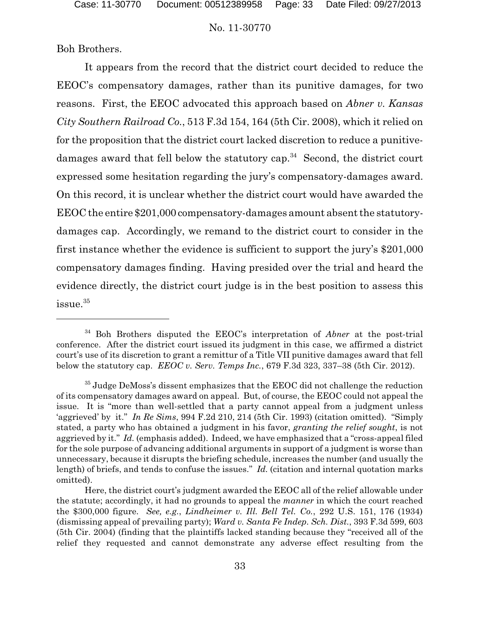Boh Brothers.

It appears from the record that the district court decided to reduce the EEOC's compensatory damages, rather than its punitive damages, for two reasons. First, the EEOC advocated this approach based on *Abner v. Kansas City Southern Railroad Co.*, 513 F.3d 154, 164 (5th Cir. 2008), which it relied on for the proposition that the district court lacked discretion to reduce a punitivedamages award that fell below the statutory cap.<sup>34</sup> Second, the district court expressed some hesitation regarding the jury's compensatory-damages award. On this record, it is unclear whether the district court would have awarded the EEOC the entire \$201,000 compensatory-damages amount absent the statutorydamages cap. Accordingly, we remand to the district court to consider in the first instance whether the evidence is sufficient to support the jury's \$201,000 compensatory damages finding. Having presided over the trial and heard the evidence directly, the district court judge is in the best position to assess this issue.<sup>35</sup>

<sup>34</sup> Boh Brothers disputed the EEOC's interpretation of *Abner* at the post-trial conference. After the district court issued its judgment in this case, we affirmed a district court's use of its discretion to grant a remittur of a Title VII punitive damages award that fell below the statutory cap. *EEOC v. Serv. Temps Inc.*, 679 F.3d 323, 337–38 (5th Cir. 2012).

 $35$  Judge DeMoss's dissent emphasizes that the EEOC did not challenge the reduction of its compensatory damages award on appeal. But, of course, the EEOC could not appeal the issue. It is "more than well-settled that a party cannot appeal from a judgment unless 'aggrieved' by it." *In Re Sims*, 994 F.2d 210, 214 (5th Cir. 1993) (citation omitted). "Simply stated, a party who has obtained a judgment in his favor, *granting the relief sought*, is not aggrieved by it." *Id.* (emphasis added). Indeed, we have emphasized that a "cross-appeal filed for the sole purpose of advancing additional arguments in support of a judgment is worse than unnecessary, because it disrupts the briefing schedule, increases the number (and usually the length) of briefs, and tends to confuse the issues." *Id.* (citation and internal quotation marks omitted).

Here, the district court's judgment awarded the EEOC all of the relief allowable under the statute; accordingly, it had no grounds to appeal the *manner* in which the court reached the \$300,000 figure. *See, e.g.*, *Lindheimer v. Ill. Bell Tel. Co.*, 292 U.S. 151, 176 (1934) (dismissing appeal of prevailing party); *Ward v. Santa Fe Indep. Sch. Dist.*, 393 F.3d 599, 603 (5th Cir. 2004) (finding that the plaintiffs lacked standing because they "received all of the relief they requested and cannot demonstrate any adverse effect resulting from the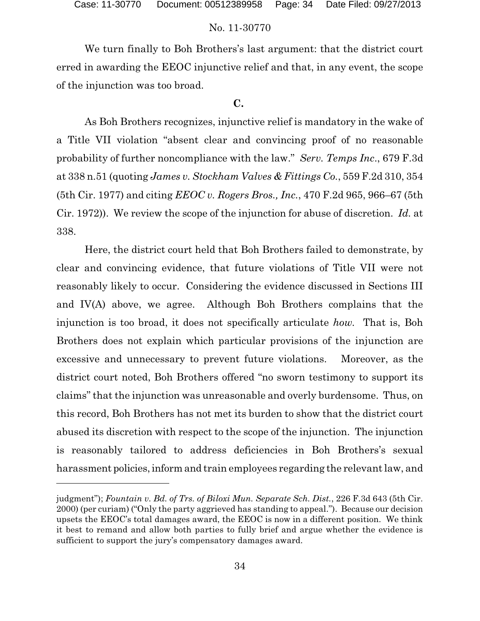We turn finally to Boh Brothers's last argument: that the district court erred in awarding the EEOC injunctive relief and that, in any event, the scope of the injunction was too broad.

### **C.**

As Boh Brothers recognizes, injunctive relief is mandatory in the wake of a Title VII violation "absent clear and convincing proof of no reasonable probability of further noncompliance with the law." *Serv. Temps Inc*., 679 F.3d at 338 n.51 (quoting *James v. Stockham Valves & Fittings Co.*, 559 F.2d 310, 354 (5th Cir. 1977) and citing *EEOC v. Rogers Bros., Inc.*, 470 F.2d 965, 966–67 (5th Cir. 1972)). We review the scope of the injunction for abuse of discretion. *Id.* at 338.

Here, the district court held that Boh Brothers failed to demonstrate, by clear and convincing evidence, that future violations of Title VII were not reasonably likely to occur. Considering the evidence discussed in Sections III and IV(A) above, we agree. Although Boh Brothers complains that the injunction is too broad, it does not specifically articulate *how.* That is, Boh Brothers does not explain which particular provisions of the injunction are excessive and unnecessary to prevent future violations. Moreover, as the district court noted, Boh Brothers offered "no sworn testimony to support its claims" that the injunction was unreasonable and overly burdensome. Thus, on this record, Boh Brothers has not met its burden to show that the district court abused its discretion with respect to the scope of the injunction. The injunction is reasonably tailored to address deficiencies in Boh Brothers's sexual harassment policies, inform and train employees regarding the relevant law, and

judgment"); *Fountain v. Bd. of Trs. of Biloxi Mun. Separate Sch. Dist.*, 226 F.3d 643 (5th Cir. 2000) (per curiam) ("Only the party aggrieved has standing to appeal."). Because our decision upsets the EEOC's total damages award, the EEOC is now in a different position. We think it best to remand and allow both parties to fully brief and argue whether the evidence is sufficient to support the jury's compensatory damages award.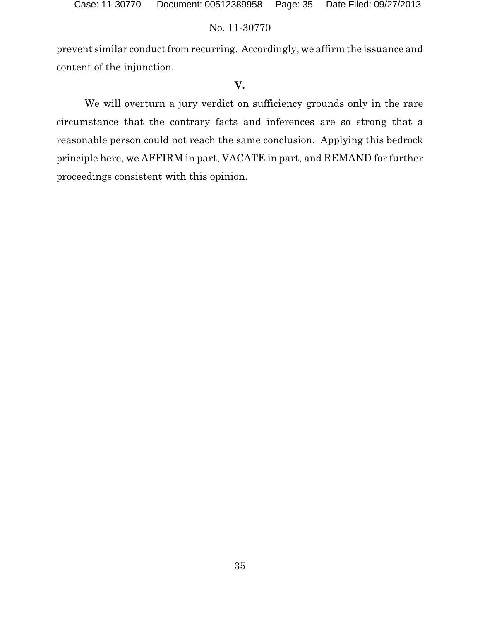prevent similar conduct from recurring. Accordingly, we affirm the issuance and content of the injunction.

# **V.**

We will overturn a jury verdict on sufficiency grounds only in the rare circumstance that the contrary facts and inferences are so strong that a reasonable person could not reach the same conclusion. Applying this bedrock principle here, we AFFIRM in part, VACATE in part, and REMAND for further proceedings consistent with this opinion.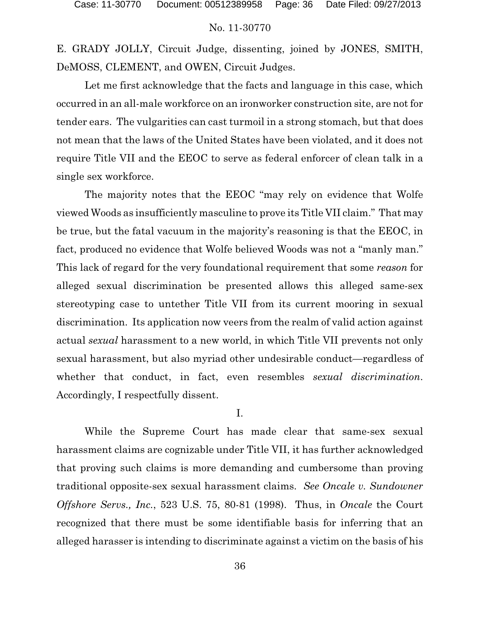E. GRADY JOLLY, Circuit Judge, dissenting, joined by JONES, SMITH, DeMOSS, CLEMENT, and OWEN, Circuit Judges.

Let me first acknowledge that the facts and language in this case, which occurred in an all-male workforce on an ironworker construction site, are not for tender ears. The vulgarities can cast turmoil in a strong stomach, but that does not mean that the laws of the United States have been violated, and it does not require Title VII and the EEOC to serve as federal enforcer of clean talk in a single sex workforce.

The majority notes that the EEOC "may rely on evidence that Wolfe viewed Woods as insufficiently masculine to prove its Title VII claim." That may be true, but the fatal vacuum in the majority's reasoning is that the EEOC, in fact, produced no evidence that Wolfe believed Woods was not a "manly man." This lack of regard for the very foundational requirement that some *reason* for alleged sexual discrimination be presented allows this alleged same-sex stereotyping case to untether Title VII from its current mooring in sexual discrimination. Its application now veers from the realm of valid action against actual *sexual* harassment to a new world, in which Title VII prevents not only sexual harassment, but also myriad other undesirable conduct—regardless of whether that conduct, in fact, even resembles *sexual discrimination*. Accordingly, I respectfully dissent.

I.

While the Supreme Court has made clear that same-sex sexual harassment claims are cognizable under Title VII, it has further acknowledged that proving such claims is more demanding and cumbersome than proving traditional opposite-sex sexual harassment claims. *See Oncale v. Sundowner Offshore Servs., Inc.*, 523 U.S. 75, 80-81 (1998). Thus, in *Oncale* the Court recognized that there must be some identifiable basis for inferring that an alleged harasser is intending to discriminate against a victim on the basis of his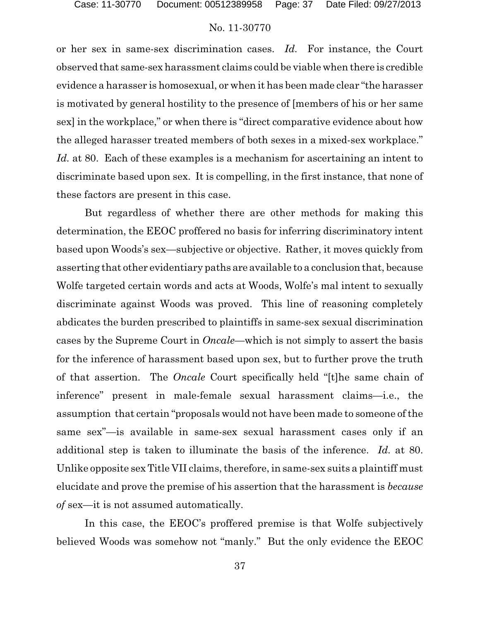or her sex in same-sex discrimination cases. *Id.* For instance, the Court observed that same-sex harassment claims could be viable when there is credible evidence a harasser is homosexual, or when it has been made clear "the harasser is motivated by general hostility to the presence of [members of his or her same sex] in the workplace," or when there is "direct comparative evidence about how the alleged harasser treated members of both sexes in a mixed-sex workplace." *Id.* at 80. Each of these examples is a mechanism for ascertaining an intent to discriminate based upon sex. It is compelling, in the first instance, that none of these factors are present in this case.

But regardless of whether there are other methods for making this determination, the EEOC proffered no basis for inferring discriminatory intent based upon Woods's sex—subjective or objective. Rather, it moves quickly from asserting that other evidentiary paths are available to a conclusion that, because Wolfe targeted certain words and acts at Woods, Wolfe's mal intent to sexually discriminate against Woods was proved. This line of reasoning completely abdicates the burden prescribed to plaintiffs in same-sex sexual discrimination cases by the Supreme Court in *Oncale*—which is not simply to assert the basis for the inference of harassment based upon sex, but to further prove the truth of that assertion. The *Oncale* Court specifically held "[t]he same chain of inference" present in male-female sexual harassment claims—i.e., the assumption that certain "proposals would not have been made to someone of the same sex"—is available in same-sex sexual harassment cases only if an additional step is taken to illuminate the basis of the inference. *Id.* at 80. Unlike opposite sex Title VII claims, therefore, in same-sex suits a plaintiff must elucidate and prove the premise of his assertion that the harassment is *because of* sex—it is not assumed automatically.

In this case, the EEOC's proffered premise is that Wolfe subjectively believed Woods was somehow not "manly." But the only evidence the EEOC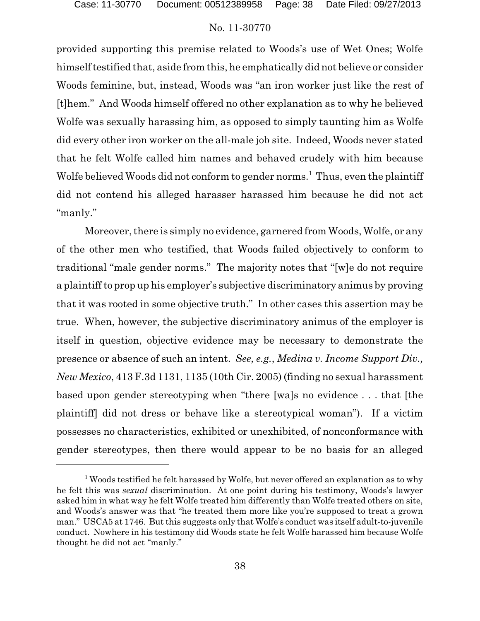provided supporting this premise related to Woods's use of Wet Ones; Wolfe himself testified that, aside from this, he emphatically did not believe or consider Woods feminine, but, instead, Woods was "an iron worker just like the rest of [t]hem." And Woods himself offered no other explanation as to why he believed Wolfe was sexually harassing him, as opposed to simply taunting him as Wolfe did every other iron worker on the all-male job site. Indeed, Woods never stated that he felt Wolfe called him names and behaved crudely with him because Wolfe believed Woods did not conform to gender norms.<sup>1</sup> Thus, even the plaintiff did not contend his alleged harasser harassed him because he did not act "manly."

Moreover, there is simply no evidence, garnered from Woods, Wolfe, or any of the other men who testified, that Woods failed objectively to conform to traditional "male gender norms." The majority notes that "[w]e do not require a plaintiff to prop up his employer's subjective discriminatory animus by proving that it was rooted in some objective truth." In other cases this assertion may be true. When, however, the subjective discriminatory animus of the employer is itself in question, objective evidence may be necessary to demonstrate the presence or absence of such an intent. *See, e.g.*, *Medina v. Income Support Div., New Mexico*, 413 F.3d 1131, 1135 (10th Cir. 2005) (finding no sexual harassment based upon gender stereotyping when "there [wa]s no evidence . . . that [the plaintiff] did not dress or behave like a stereotypical woman"). If a victim possesses no characteristics, exhibited or unexhibited, of nonconformance with gender stereotypes, then there would appear to be no basis for an alleged

 $1$  Woods testified he felt harassed by Wolfe, but never offered an explanation as to why he felt this was *sexual* discrimination. At one point during his testimony, Woods's lawyer asked him in what way he felt Wolfe treated him differently than Wolfe treated others on site, and Woods's answer was that "he treated them more like you're supposed to treat a grown man." USCA5 at 1746. But this suggests only that Wolfe's conduct was itself adult-to-juvenile conduct. Nowhere in his testimony did Woods state he felt Wolfe harassed him because Wolfe thought he did not act "manly."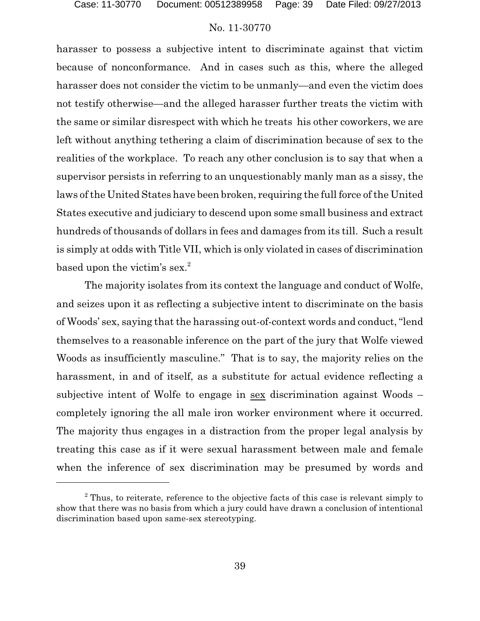harasser to possess a subjective intent to discriminate against that victim because of nonconformance. And in cases such as this, where the alleged harasser does not consider the victim to be unmanly—and even the victim does not testify otherwise—and the alleged harasser further treats the victim with the same or similar disrespect with which he treats his other coworkers, we are left without anything tethering a claim of discrimination because of sex to the realities of the workplace. To reach any other conclusion is to say that when a supervisor persists in referring to an unquestionably manly man as a sissy, the laws of the United States have been broken, requiring the full force of the United States executive and judiciary to descend upon some small business and extract hundreds of thousands of dollars in fees and damages from its till. Such a result is simply at odds with Title VII, which is only violated in cases of discrimination based upon the victim's sex.<sup>2</sup>

The majority isolates from its context the language and conduct of Wolfe, and seizes upon it as reflecting a subjective intent to discriminate on the basis of Woods' sex, saying that the harassing out-of-context words and conduct, "lend themselves to a reasonable inference on the part of the jury that Wolfe viewed Woods as insufficiently masculine." That is to say, the majority relies on the harassment, in and of itself, as a substitute for actual evidence reflecting a subjective intent of Wolfe to engage in sex discrimination against Woods – completely ignoring the all male iron worker environment where it occurred. The majority thus engages in a distraction from the proper legal analysis by treating this case as if it were sexual harassment between male and female when the inference of sex discrimination may be presumed by words and

 $2$  Thus, to reiterate, reference to the objective facts of this case is relevant simply to show that there was no basis from which a jury could have drawn a conclusion of intentional discrimination based upon same-sex stereotyping.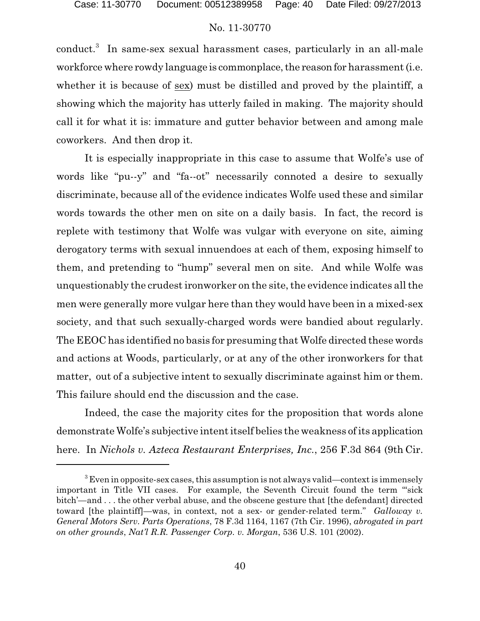conduct.<sup>3</sup> In same-sex sexual harassment cases, particularly in an all-male workforce where rowdy language is commonplace, the reason for harassment (i.e. whether it is because of sex) must be distilled and proved by the plaintiff, a showing which the majority has utterly failed in making. The majority should call it for what it is: immature and gutter behavior between and among male coworkers. And then drop it.

It is especially inappropriate in this case to assume that Wolfe's use of words like "pu--y" and "fa--ot" necessarily connoted a desire to sexually discriminate, because all of the evidence indicates Wolfe used these and similar words towards the other men on site on a daily basis. In fact, the record is replete with testimony that Wolfe was vulgar with everyone on site, aiming derogatory terms with sexual innuendoes at each of them, exposing himself to them, and pretending to "hump" several men on site. And while Wolfe was unquestionably the crudest ironworker on the site, the evidence indicates all the men were generally more vulgar here than they would have been in a mixed-sex society, and that such sexually-charged words were bandied about regularly. The EEOC has identified no basis for presuming that Wolfe directed these words and actions at Woods, particularly, or at any of the other ironworkers for that matter, out of a subjective intent to sexually discriminate against him or them. This failure should end the discussion and the case.

Indeed, the case the majority cites for the proposition that words alone demonstrate Wolfe's subjective intent itself belies the weakness of its application here. In *Nichols v. Azteca Restaurant Enterprises, Inc.*, 256 F.3d 864 (9th Cir.

 $3$  Even in opposite-sex cases, this assumption is not always valid—context is immensely important in Title VII cases. For example, the Seventh Circuit found the term "'sick bitch'—and . . . the other verbal abuse, and the obscene gesture that [the defendant] directed toward [the plaintiff]—was, in context, not a sex- or gender-related term." *Galloway v. General Motors Serv. Parts Operations*, 78 F.3d 1164, 1167 (7th Cir. 1996), *abrogated in part on other grounds*, *Nat'l R.R. Passenger Corp. v. Morgan*, 536 U.S. 101 (2002).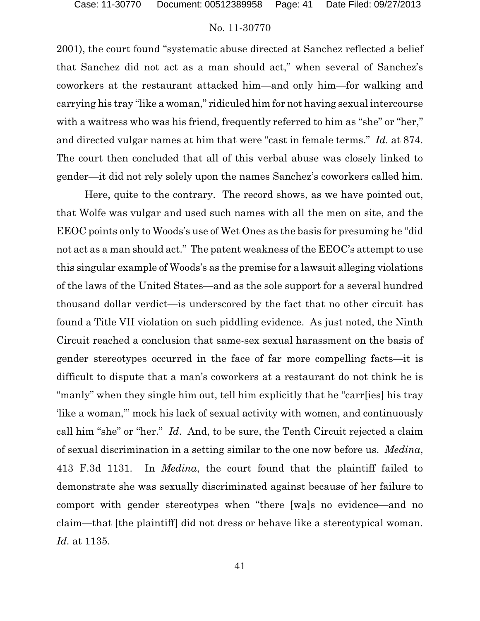2001), the court found "systematic abuse directed at Sanchez reflected a belief that Sanchez did not act as a man should act," when several of Sanchez's coworkers at the restaurant attacked him—and only him—for walking and carrying his tray "like a woman," ridiculed him for not having sexual intercourse with a waitress who was his friend, frequently referred to him as "she" or "her," and directed vulgar names at him that were "cast in female terms." *Id.* at 874. The court then concluded that all of this verbal abuse was closely linked to gender—it did not rely solely upon the names Sanchez's coworkers called him.

Here, quite to the contrary. The record shows, as we have pointed out, that Wolfe was vulgar and used such names with all the men on site, and the EEOC points only to Woods's use of Wet Ones as the basis for presuming he "did not act as a man should act." The patent weakness of the EEOC's attempt to use this singular example of Woods's as the premise for a lawsuit alleging violations of the laws of the United States—and as the sole support for a several hundred thousand dollar verdict—is underscored by the fact that no other circuit has found a Title VII violation on such piddling evidence. As just noted, the Ninth Circuit reached a conclusion that same-sex sexual harassment on the basis of gender stereotypes occurred in the face of far more compelling facts—it is difficult to dispute that a man's coworkers at a restaurant do not think he is "manly" when they single him out, tell him explicitly that he "carr[ies] his tray 'like a woman,'" mock his lack of sexual activity with women, and continuously call him "she" or "her." *Id*. And, to be sure, the Tenth Circuit rejected a claim of sexual discrimination in a setting similar to the one now before us. *Medina*, 413 F.3d 1131. In *Medina*, the court found that the plaintiff failed to demonstrate she was sexually discriminated against because of her failure to comport with gender stereotypes when "there [wa]s no evidence—and no claim—that [the plaintiff] did not dress or behave like a stereotypical woman*. Id.* at 1135.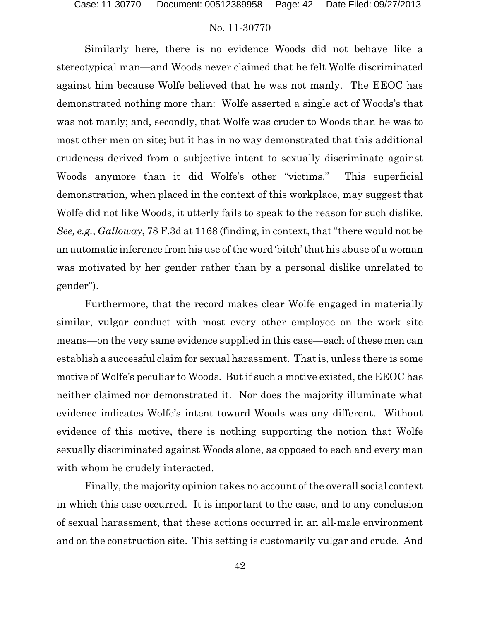Similarly here, there is no evidence Woods did not behave like a stereotypical man—and Woods never claimed that he felt Wolfe discriminated against him because Wolfe believed that he was not manly. The EEOC has demonstrated nothing more than: Wolfe asserted a single act of Woods's that was not manly; and, secondly, that Wolfe was cruder to Woods than he was to most other men on site; but it has in no way demonstrated that this additional crudeness derived from a subjective intent to sexually discriminate against Woods anymore than it did Wolfe's other "victims." This superficial demonstration, when placed in the context of this workplace, may suggest that Wolfe did not like Woods; it utterly fails to speak to the reason for such dislike. *See, e.g.*, *Galloway*, 78 F.3d at 1168 (finding, in context, that "there would not be an automatic inference from his use of the word 'bitch' that his abuse of a woman was motivated by her gender rather than by a personal dislike unrelated to gender").

Furthermore, that the record makes clear Wolfe engaged in materially similar, vulgar conduct with most every other employee on the work site means—on the very same evidence supplied in this case—each of these men can establish a successful claim for sexual harassment. That is, unless there is some motive of Wolfe's peculiar to Woods. But if such a motive existed, the EEOC has neither claimed nor demonstrated it. Nor does the majority illuminate what evidence indicates Wolfe's intent toward Woods was any different. Without evidence of this motive, there is nothing supporting the notion that Wolfe sexually discriminated against Woods alone, as opposed to each and every man with whom he crudely interacted.

Finally, the majority opinion takes no account of the overall social context in which this case occurred. It is important to the case, and to any conclusion of sexual harassment, that these actions occurred in an all-male environment and on the construction site. This setting is customarily vulgar and crude. And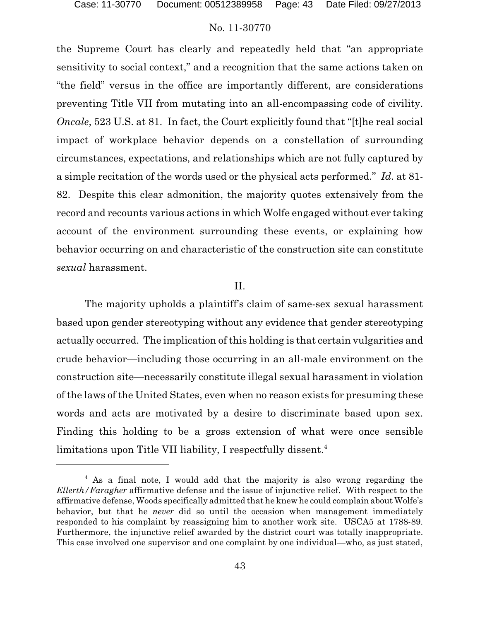the Supreme Court has clearly and repeatedly held that "an appropriate sensitivity to social context," and a recognition that the same actions taken on "the field" versus in the office are importantly different, are considerations preventing Title VII from mutating into an all-encompassing code of civility. *Oncale*, 523 U.S. at 81. In fact, the Court explicitly found that "[t]he real social impact of workplace behavior depends on a constellation of surrounding circumstances, expectations, and relationships which are not fully captured by a simple recitation of the words used or the physical acts performed." *Id*. at 81- 82. Despite this clear admonition, the majority quotes extensively from the record and recounts various actions in which Wolfe engaged without ever taking account of the environment surrounding these events, or explaining how behavior occurring on and characteristic of the construction site can constitute *sexual* harassment.

#### II.

The majority upholds a plaintiff's claim of same-sex sexual harassment based upon gender stereotyping without any evidence that gender stereotyping actually occurred. The implication of this holding is that certain vulgarities and crude behavior—including those occurring in an all-male environment on the construction site—necessarily constitute illegal sexual harassment in violation of the laws of the United States, even when no reason exists for presuming these words and acts are motivated by a desire to discriminate based upon sex. Finding this holding to be a gross extension of what were once sensible limitations upon Title VII liability, I respectfully dissent.<sup>4</sup>

<sup>&</sup>lt;sup>4</sup> As a final note, I would add that the majority is also wrong regarding the *Ellerth/Faragher* affirmative defense and the issue of injunctive relief. With respect to the affirmative defense, Woods specifically admitted that he knew he could complain about Wolfe's behavior, but that he *never* did so until the occasion when management immediately responded to his complaint by reassigning him to another work site. USCA5 at 1788-89. Furthermore, the injunctive relief awarded by the district court was totally inappropriate. This case involved one supervisor and one complaint by one individual—who, as just stated,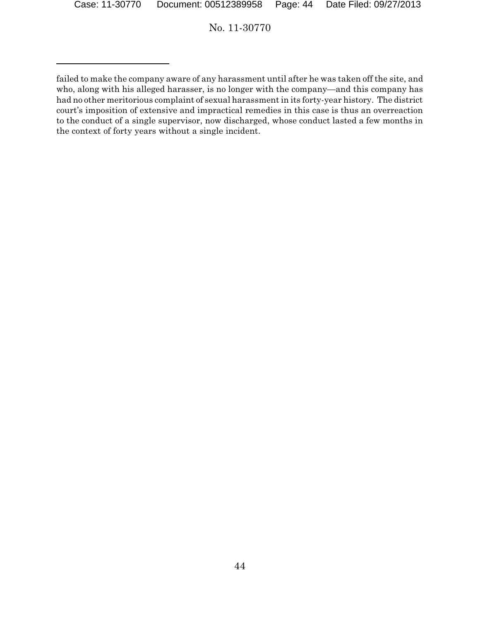failed to make the company aware of any harassment until after he was taken off the site, and who, along with his alleged harasser, is no longer with the company—and this company has had no other meritorious complaint of sexual harassment in its forty-year history. The district court's imposition of extensive and impractical remedies in this case is thus an overreaction to the conduct of a single supervisor, now discharged, whose conduct lasted a few months in the context of forty years without a single incident.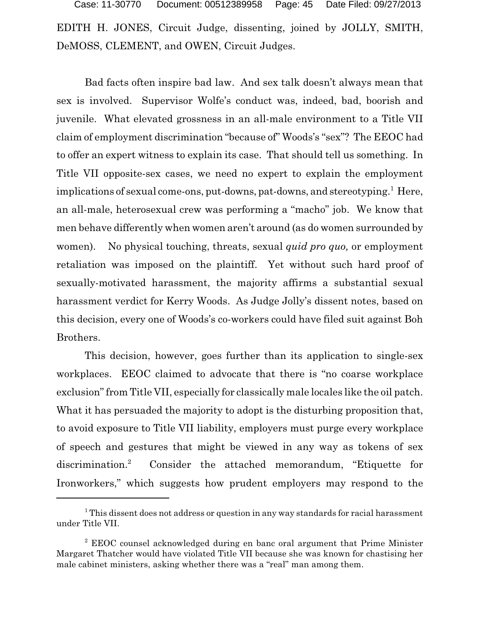EDITH H. JONES, Circuit Judge, dissenting, joined by JOLLY, SMITH, DeMOSS, CLEMENT, and OWEN, Circuit Judges. Case: 11-30770 Document: 00512389958 Page: 45 Date Filed: 09/27/2013

Bad facts often inspire bad law. And sex talk doesn't always mean that sex is involved. Supervisor Wolfe's conduct was, indeed, bad, boorish and juvenile. What elevated grossness in an all-male environment to a Title VII claim of employment discrimination "because of" Woods's "sex"? The EEOC had to offer an expert witness to explain its case. That should tell us something. In Title VII opposite-sex cases, we need no expert to explain the employment implications of sexual come-ons, put-downs, pat-downs, and stereotyping.<sup>1</sup> Here, an all-male, heterosexual crew was performing a "macho" job. We know that men behave differently when women aren't around (as do women surrounded by women). No physical touching, threats, sexual *quid pro quo,* or employment retaliation was imposed on the plaintiff. Yet without such hard proof of sexually-motivated harassment, the majority affirms a substantial sexual harassment verdict for Kerry Woods. As Judge Jolly's dissent notes, based on this decision, every one of Woods's co-workers could have filed suit against Boh Brothers.

This decision, however, goes further than its application to single-sex workplaces. EEOC claimed to advocate that there is "no coarse workplace exclusion" from Title VII, especially for classically male locales like the oil patch. What it has persuaded the majority to adopt is the disturbing proposition that, to avoid exposure to Title VII liability, employers must purge every workplace of speech and gestures that might be viewed in any way as tokens of sex discrimination.<sup>2</sup> Consider the attached memorandum, "Etiquette for Ironworkers," which suggests how prudent employers may respond to the

<sup>&</sup>lt;sup>1</sup> This dissent does not address or question in any way standards for racial harassment under Title VII.

<sup>2</sup> EEOC counsel acknowledged during en banc oral argument that Prime Minister Margaret Thatcher would have violated Title VII because she was known for chastising her male cabinet ministers, asking whether there was a "real" man among them.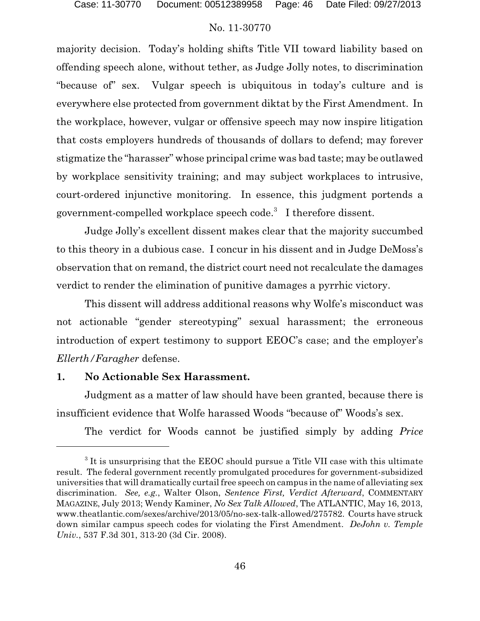majority decision. Today's holding shifts Title VII toward liability based on offending speech alone, without tether, as Judge Jolly notes, to discrimination "because of" sex. Vulgar speech is ubiquitous in today's culture and is everywhere else protected from government diktat by the First Amendment. In the workplace, however, vulgar or offensive speech may now inspire litigation that costs employers hundreds of thousands of dollars to defend; may forever stigmatize the "harasser" whose principal crime was bad taste; may be outlawed by workplace sensitivity training; and may subject workplaces to intrusive, court-ordered injunctive monitoring. In essence, this judgment portends a government-compelled workplace speech code.<sup>3</sup> I therefore dissent.

Judge Jolly's excellent dissent makes clear that the majority succumbed to this theory in a dubious case. I concur in his dissent and in Judge DeMoss's observation that on remand, the district court need not recalculate the damages verdict to render the elimination of punitive damages a pyrrhic victory.

This dissent will address additional reasons why Wolfe's misconduct was not actionable "gender stereotyping" sexual harassment; the erroneous introduction of expert testimony to support EEOC's case; and the employer's *Ellerth/Faragher* defense.

### **1. No Actionable Sex Harassment.**

Judgment as a matter of law should have been granted, because there is insufficient evidence that Wolfe harassed Woods "because of" Woods's sex.

The verdict for Woods cannot be justified simply by adding *Price*

<sup>&</sup>lt;sup>3</sup> It is unsurprising that the EEOC should pursue a Title VII case with this ultimate result. The federal government recently promulgated procedures for government-subsidized universities that will dramatically curtail free speech on campus in the name of alleviating sex discrimination. *See, e.g.*, Walter Olson, *Sentence First, Verdict Afterward*, COMMENTARY MAGAZINE, July 2013; Wendy Kaminer, *No Sex Talk Allowed*, The ATLANTIC, May 16, 2013, www.theatlantic.com/sexes/archive/2013/05/no-sex-talk-allowed/275782. Courts have struck down similar campus speech codes for violating the First Amendment. *DeJohn v. Temple Univ.*, 537 F.3d 301, 313-20 (3d Cir. 2008).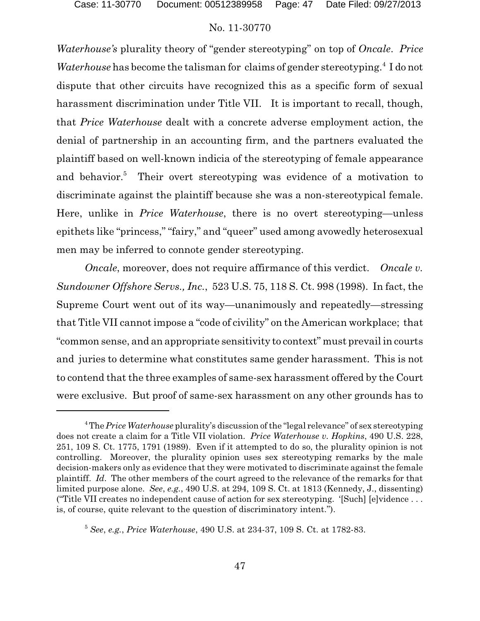*Waterhouse's* plurality theory of "gender stereotyping" on top of *Oncale*. *Price* Waterhouse has become the talisman for claims of gender stereotyping.<sup>4</sup> I do not dispute that other circuits have recognized this as a specific form of sexual harassment discrimination under Title VII. It is important to recall, though, that *Price Waterhouse* dealt with a concrete adverse employment action, the denial of partnership in an accounting firm, and the partners evaluated the plaintiff based on well-known indicia of the stereotyping of female appearance and behavior.<sup>5</sup> Their overt stereotyping was evidence of a motivation to discriminate against the plaintiff because she was a non-stereotypical female. Here, unlike in *Price Waterhouse*, there is no overt stereotyping—unless epithets like "princess," "fairy," and "queer" used among avowedly heterosexual men may be inferred to connote gender stereotyping.

*Oncale*, moreover, does not require affirmance of this verdict. *Oncale v. Sundowner Offshore Servs., Inc.*, 523 U.S. 75, 118 S. Ct. 998 (1998). In fact, the Supreme Court went out of its way—unanimously and repeatedly—stressing that Title VII cannot impose a "code of civility" on the American workplace; that "common sense, and an appropriate sensitivity to context" must prevail in courts and juries to determine what constitutes same gender harassment. This is not to contend that the three examples of same-sex harassment offered by the Court were exclusive. But proof of same-sex harassment on any other grounds has to

<sup>&</sup>lt;sup>4</sup>The *Price Waterhouse* plurality's discussion of the "legal relevance" of sex stereotyping does not create a claim for a Title VII violation. *Price Waterhouse v. Hopkins*, 490 U.S. 228, 251, 109 S. Ct. 1775, 1791 (1989). Even if it attempted to do so, the plurality opinion is not controlling. Moreover, the plurality opinion uses sex stereotyping remarks by the male decision-makers only as evidence that they were motivated to discriminate against the female plaintiff. *Id*. The other members of the court agreed to the relevance of the remarks for that limited purpose alone. *See*, *e.g.*, 490 U.S. at 294, 109 S. Ct. at 1813 (Kennedy, J., dissenting) ("Title VII creates no independent cause of action for sex stereotyping. '[Such] [e]vidence . . . is, of course, quite relevant to the question of discriminatory intent.").

<sup>5</sup> *See*, *e.g.*, *Price Waterhouse*, 490 U.S. at 234-37, 109 S. Ct. at 1782-83.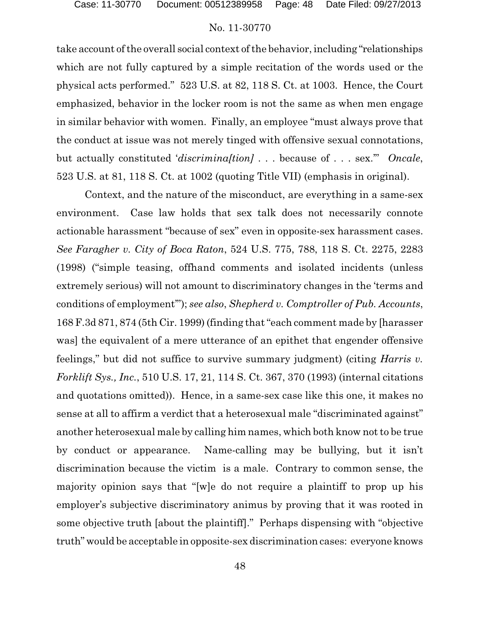take account of the overall social context of the behavior, including "relationships which are not fully captured by a simple recitation of the words used or the physical acts performed." 523 U.S. at 82, 118 S. Ct. at 1003. Hence, the Court emphasized, behavior in the locker room is not the same as when men engage in similar behavior with women. Finally, an employee "must always prove that the conduct at issue was not merely tinged with offensive sexual connotations, but actually constituted '*discrimina[tion]* . . . because of . . . sex.'" *Oncale*, 523 U.S. at 81, 118 S. Ct. at 1002 (quoting Title VII) (emphasis in original).

Context, and the nature of the misconduct, are everything in a same-sex environment. Case law holds that sex talk does not necessarily connote actionable harassment "because of sex" even in opposite-sex harassment cases. *See Faragher v. City of Boca Raton*, 524 U.S. 775, 788, 118 S. Ct. 2275, 2283 (1998) ("simple teasing, offhand comments and isolated incidents (unless extremely serious) will not amount to discriminatory changes in the 'terms and conditions of employment'"); *see also*, *Shepherd v. Comptroller of Pub. Accounts*, 168 F.3d 871, 874 (5th Cir. 1999) (finding that "each comment made by [harasser was] the equivalent of a mere utterance of an epithet that engender offensive feelings," but did not suffice to survive summary judgment) (citing *Harris v. Forklift Sys., Inc.*, 510 U.S. 17, 21, 114 S. Ct. 367, 370 (1993) (internal citations and quotations omitted)). Hence, in a same-sex case like this one, it makes no sense at all to affirm a verdict that a heterosexual male "discriminated against" another heterosexual male by calling him names, which both know not to be true by conduct or appearance. Name-calling may be bullying, but it isn't discrimination because the victim is a male. Contrary to common sense, the majority opinion says that "[w]e do not require a plaintiff to prop up his employer's subjective discriminatory animus by proving that it was rooted in some objective truth [about the plaintiff]." Perhaps dispensing with "objective truth" would be acceptable in opposite-sex discrimination cases: everyone knows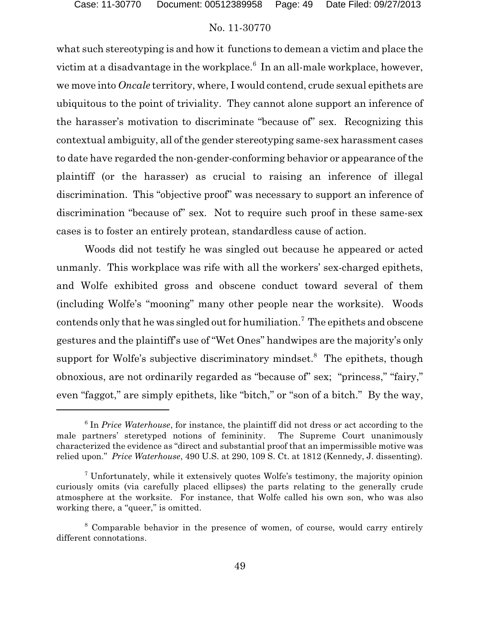what such stereotyping is and how it functions to demean a victim and place the victim at a disadvantage in the workplace. $^6$  In an all-male workplace, however, we move into *Oncale* territory, where, I would contend, crude sexual epithets are ubiquitous to the point of triviality. They cannot alone support an inference of the harasser's motivation to discriminate "because of" sex. Recognizing this contextual ambiguity, all of the gender stereotyping same-sex harassment cases to date have regarded the non-gender-conforming behavior or appearance of the plaintiff (or the harasser) as crucial to raising an inference of illegal discrimination. This "objective proof" was necessary to support an inference of discrimination "because of" sex. Not to require such proof in these same-sex cases is to foster an entirely protean, standardless cause of action.

Woods did not testify he was singled out because he appeared or acted unmanly. This workplace was rife with all the workers' sex-charged epithets, and Wolfe exhibited gross and obscene conduct toward several of them (including Wolfe's "mooning" many other people near the worksite). Woods contends only that he was singled out for humiliation.<sup>7</sup> The epithets and obscene gestures and the plaintiff's use of "Wet Ones" handwipes are the majority's only support for Wolfe's subjective discriminatory mindset.<sup>8</sup> The epithets, though obnoxious, are not ordinarily regarded as "because of" sex; "princess," "fairy," even "faggot," are simply epithets, like "bitch," or "son of a bitch." By the way,

<sup>&</sup>lt;sup>6</sup> In *Price Waterhouse*, for instance, the plaintiff did not dress or act according to the male partners' steretyped notions of femininity. The Supreme Court unanimously characterized the evidence as "direct and substantial proof that an impermissible motive was relied upon." *Price Waterhouse*, 490 U.S. at 290, 109 S. Ct. at 1812 (Kennedy, J. dissenting).

<sup>7</sup> Unfortunately, while it extensively quotes Wolfe's testimony, the majority opinion curiously omits (via carefully placed ellipses) the parts relating to the generally crude atmosphere at the worksite. For instance, that Wolfe called his own son, who was also working there, a "queer," is omitted.

<sup>8</sup> Comparable behavior in the presence of women, of course, would carry entirely different connotations.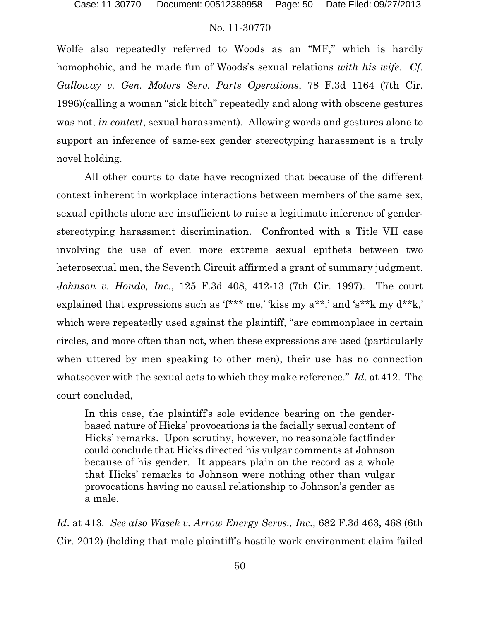Wolfe also repeatedly referred to Woods as an "MF," which is hardly homophobic, and he made fun of Woods's sexual relations *with his wife*. *Cf*. *Galloway v. Gen. Motors Serv. Parts Operations*, 78 F.3d 1164 (7th Cir. 1996)(calling a woman "sick bitch" repeatedly and along with obscene gestures was not, *in context*, sexual harassment). Allowing words and gestures alone to support an inference of same-sex gender stereotyping harassment is a truly novel holding.

All other courts to date have recognized that because of the different context inherent in workplace interactions between members of the same sex, sexual epithets alone are insufficient to raise a legitimate inference of genderstereotyping harassment discrimination. Confronted with a Title VII case involving the use of even more extreme sexual epithets between two heterosexual men, the Seventh Circuit affirmed a grant of summary judgment. *Johnson v. Hondo, Inc.*, 125 F.3d 408, 412-13 (7th Cir. 1997). The court explained that expressions such as 'f<sup>\*\*\*</sup> me,' 'kiss my a<sup>\*\*</sup>,' and 's<sup>\*\*</sup>k my d<sup>\*\*</sup>k,' which were repeatedly used against the plaintiff, "are commonplace in certain circles, and more often than not, when these expressions are used (particularly when uttered by men speaking to other men), their use has no connection whatsoever with the sexual acts to which they make reference." *Id*. at 412. The court concluded,

In this case, the plaintiff's sole evidence bearing on the genderbased nature of Hicks' provocations is the facially sexual content of Hicks' remarks. Upon scrutiny, however, no reasonable factfinder could conclude that Hicks directed his vulgar comments at Johnson because of his gender. It appears plain on the record as a whole that Hicks' remarks to Johnson were nothing other than vulgar provocations having no causal relationship to Johnson's gender as a male.

*Id*. at 413. *See also Wasek v. Arrow Energy Servs., Inc.,* 682 F.3d 463, 468 (6th Cir. 2012) (holding that male plaintiff's hostile work environment claim failed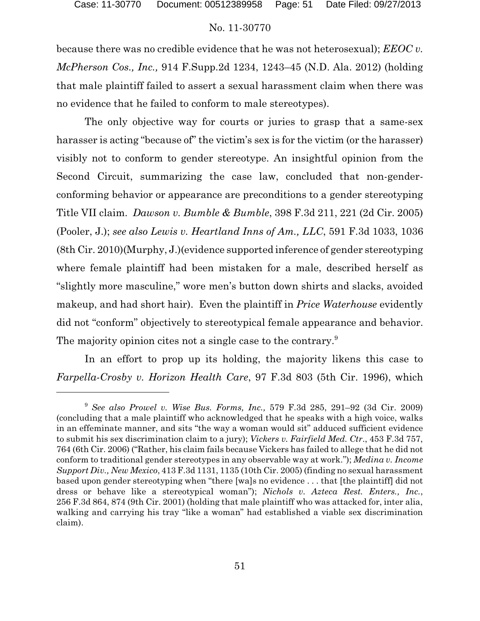because there was no credible evidence that he was not heterosexual); *EEOC v. McPherson Cos., Inc.,* 914 F.Supp.2d 1234, 1243–45 (N.D. Ala. 2012) (holding that male plaintiff failed to assert a sexual harassment claim when there was no evidence that he failed to conform to male stereotypes).

The only objective way for courts or juries to grasp that a same-sex harasser is acting "because of" the victim's sex is for the victim (or the harasser) visibly not to conform to gender stereotype. An insightful opinion from the Second Circuit, summarizing the case law, concluded that non-genderconforming behavior or appearance are preconditions to a gender stereotyping Title VII claim. *Dawson v. Bumble & Bumble*, 398 F.3d 211, 221 (2d Cir. 2005) (Pooler, J.); *see also Lewis v. Heartland Inns of Am., LLC*, 591 F.3d 1033, 1036 (8th Cir. 2010)(Murphy, J.)(evidence supported inference of gender stereotyping where female plaintiff had been mistaken for a male, described herself as "slightly more masculine," wore men's button down shirts and slacks, avoided makeup, and had short hair). Even the plaintiff in *Price Waterhouse* evidently did not "conform" objectively to stereotypical female appearance and behavior. The majority opinion cites not a single case to the contrary.<sup>9</sup>

In an effort to prop up its holding, the majority likens this case to *Farpella-Crosby v. Horizon Health Care*, 97 F.3d 803 (5th Cir. 1996), which

<sup>9</sup> *See also Prowel v. Wise Bus. Forms, Inc.,* 579 F.3d 285, 291–92 (3d Cir. 2009) (concluding that a male plaintiff who acknowledged that he speaks with a high voice, walks in an effeminate manner, and sits "the way a woman would sit" adduced sufficient evidence to submit his sex discrimination claim to a jury); *Vickers v. Fairfield Med. Ctr*., 453 F.3d 757, 764 (6th Cir. 2006) ("Rather, his claim fails because Vickers has failed to allege that he did not conform to traditional gender stereotypes in any observable way at work."); *Medina v. Income Support Div., New Mexico*, 413 F.3d 1131, 1135 (10th Cir. 2005) (finding no sexual harassment based upon gender stereotyping when "there [wa]s no evidence . . . that [the plaintiff] did not dress or behave like a stereotypical woman"); *Nichols v. Azteca Rest. Enters., Inc.*, 256 F.3d 864, 874 (9th Cir. 2001) (holding that male plaintiff who was attacked for, inter alia, walking and carrying his tray "like a woman" had established a viable sex discrimination claim).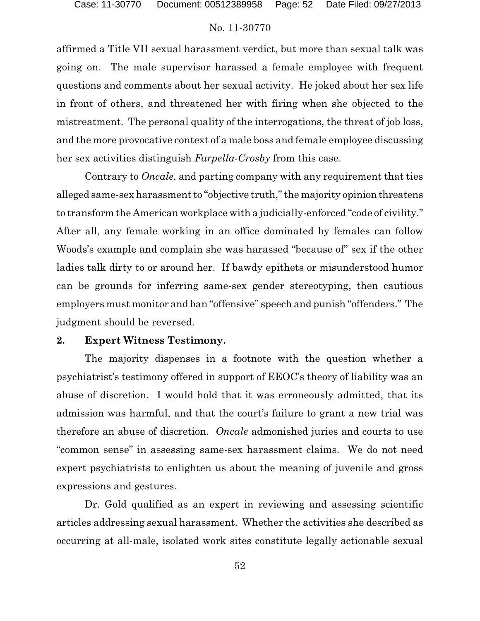affirmed a Title VII sexual harassment verdict, but more than sexual talk was going on. The male supervisor harassed a female employee with frequent questions and comments about her sexual activity. He joked about her sex life in front of others, and threatened her with firing when she objected to the mistreatment. The personal quality of the interrogations, the threat of job loss, and the more provocative context of a male boss and female employee discussing her sex activities distinguish *Farpella-Crosby* from this case.

Contrary to *Oncale*, and parting company with any requirement that ties alleged same-sex harassment to "objective truth," the majority opinion threatens to transform the American workplace with a judicially-enforced "code of civility." After all, any female working in an office dominated by females can follow Woods's example and complain she was harassed "because of" sex if the other ladies talk dirty to or around her. If bawdy epithets or misunderstood humor can be grounds for inferring same-sex gender stereotyping, then cautious employers must monitor and ban "offensive" speech and punish "offenders." The judgment should be reversed.

### **2. Expert Witness Testimony.**

The majority dispenses in a footnote with the question whether a psychiatrist's testimony offered in support of EEOC's theory of liability was an abuse of discretion. I would hold that it was erroneously admitted, that its admission was harmful, and that the court's failure to grant a new trial was therefore an abuse of discretion. *Oncale* admonished juries and courts to use "common sense" in assessing same-sex harassment claims. We do not need expert psychiatrists to enlighten us about the meaning of juvenile and gross expressions and gestures.

Dr. Gold qualified as an expert in reviewing and assessing scientific articles addressing sexual harassment. Whether the activities she described as occurring at all-male, isolated work sites constitute legally actionable sexual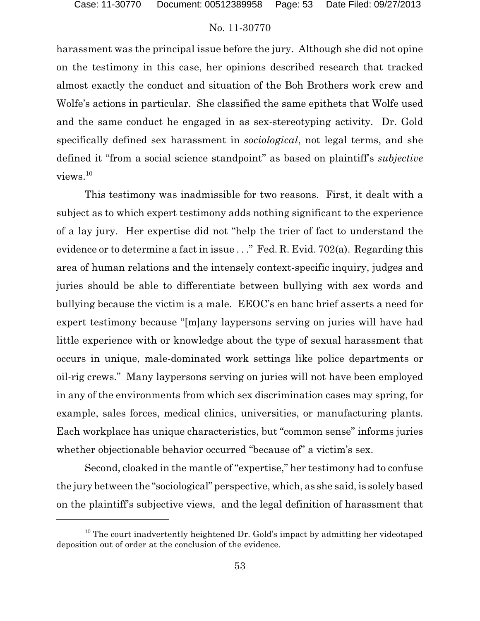harassment was the principal issue before the jury. Although she did not opine on the testimony in this case, her opinions described research that tracked almost exactly the conduct and situation of the Boh Brothers work crew and Wolfe's actions in particular. She classified the same epithets that Wolfe used and the same conduct he engaged in as sex-stereotyping activity. Dr. Gold specifically defined sex harassment in *sociological*, not legal terms, and she defined it "from a social science standpoint" as based on plaintiff's *subjective*  $v$ iews. $^{10}$ 

This testimony was inadmissible for two reasons. First, it dealt with a subject as to which expert testimony adds nothing significant to the experience of a lay jury. Her expertise did not "help the trier of fact to understand the evidence or to determine a fact in issue . . ." Fed. R. Evid. 702(a). Regarding this area of human relations and the intensely context-specific inquiry, judges and juries should be able to differentiate between bullying with sex words and bullying because the victim is a male. EEOC's en banc brief asserts a need for expert testimony because "[m]any laypersons serving on juries will have had little experience with or knowledge about the type of sexual harassment that occurs in unique, male-dominated work settings like police departments or oil-rig crews." Many laypersons serving on juries will not have been employed in any of the environments from which sex discrimination cases may spring, for example, sales forces, medical clinics, universities, or manufacturing plants. Each workplace has unique characteristics, but "common sense" informs juries whether objectionable behavior occurred "because of" a victim's sex.

Second, cloaked in the mantle of "expertise," her testimony had to confuse the jury between the "sociological" perspective, which, as she said, is solely based on the plaintiff's subjective views, and the legal definition of harassment that

<sup>&</sup>lt;sup>10</sup> The court inadvertently heightened Dr. Gold's impact by admitting her videotaped deposition out of order at the conclusion of the evidence.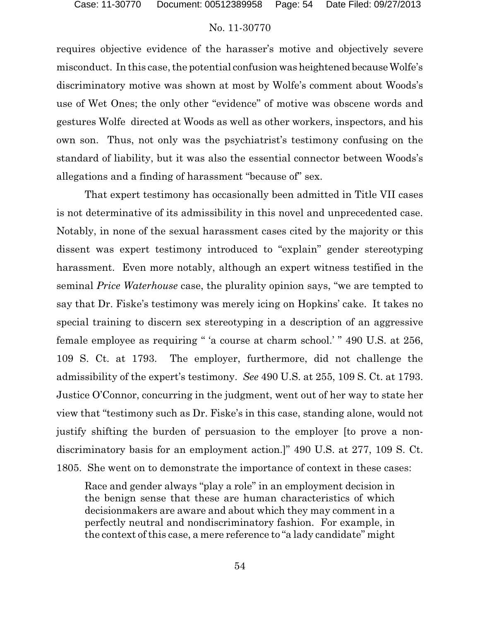requires objective evidence of the harasser's motive and objectively severe misconduct. In this case, the potential confusion was heightened because Wolfe's discriminatory motive was shown at most by Wolfe's comment about Woods's use of Wet Ones; the only other "evidence" of motive was obscene words and gestures Wolfe directed at Woods as well as other workers, inspectors, and his own son. Thus, not only was the psychiatrist's testimony confusing on the standard of liability, but it was also the essential connector between Woods's allegations and a finding of harassment "because of" sex.

That expert testimony has occasionally been admitted in Title VII cases is not determinative of its admissibility in this novel and unprecedented case. Notably, in none of the sexual harassment cases cited by the majority or this dissent was expert testimony introduced to "explain" gender stereotyping harassment. Even more notably, although an expert witness testified in the seminal *Price Waterhouse* case, the plurality opinion says, "we are tempted to say that Dr. Fiske's testimony was merely icing on Hopkins' cake. It takes no special training to discern sex stereotyping in a description of an aggressive female employee as requiring " 'a course at charm school.' " 490 U.S. at 256, 109 S. Ct. at 1793. The employer, furthermore, did not challenge the admissibility of the expert's testimony. *See* 490 U.S. at 255, 109 S. Ct. at 1793. Justice O'Connor, concurring in the judgment, went out of her way to state her view that "testimony such as Dr. Fiske's in this case, standing alone, would not justify shifting the burden of persuasion to the employer [to prove a nondiscriminatory basis for an employment action.]" 490 U.S. at 277, 109 S. Ct. 1805. She went on to demonstrate the importance of context in these cases:

Race and gender always "play a role" in an employment decision in the benign sense that these are human characteristics of which decisionmakers are aware and about which they may comment in a perfectly neutral and nondiscriminatory fashion. For example, in the context of this case, a mere reference to "a lady candidate" might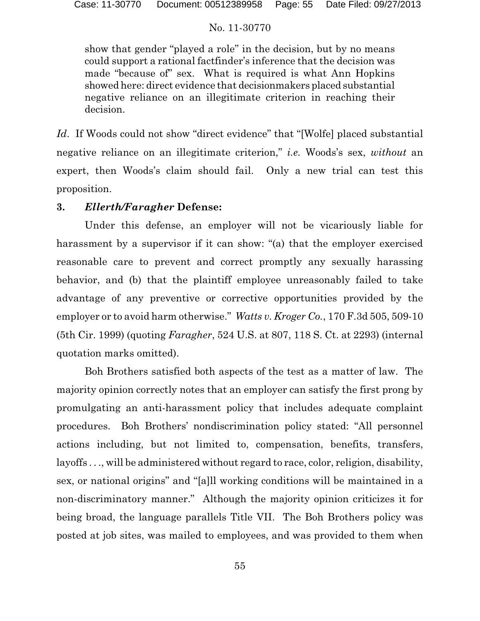show that gender "played a role" in the decision, but by no means could support a rational factfinder's inference that the decision was made "because of" sex. What is required is what Ann Hopkins showed here: direct evidence that decisionmakers placed substantial negative reliance on an illegitimate criterion in reaching their decision.

*Id*. If Woods could not show "direct evidence" that "[Wolfe] placed substantial negative reliance on an illegitimate criterion," *i.e.* Woods's sex, *without* an expert, then Woods's claim should fail. Only a new trial can test this proposition.

# **3.** *Ellerth/Faragher* **Defense:**

Under this defense, an employer will not be vicariously liable for harassment by a supervisor if it can show: "(a) that the employer exercised reasonable care to prevent and correct promptly any sexually harassing behavior, and (b) that the plaintiff employee unreasonably failed to take advantage of any preventive or corrective opportunities provided by the employer or to avoid harm otherwise." *Watts v. Kroger Co.*, 170 F.3d 505, 509-10 (5th Cir. 1999) (quoting *Faragher*, 524 U.S. at 807, 118 S. Ct. at 2293) (internal quotation marks omitted).

Boh Brothers satisfied both aspects of the test as a matter of law. The majority opinion correctly notes that an employer can satisfy the first prong by promulgating an anti-harassment policy that includes adequate complaint procedures. Boh Brothers' nondiscrimination policy stated: "All personnel actions including, but not limited to, compensation, benefits, transfers, layoffs . . ., will be administered without regard to race, color, religion, disability, sex, or national origins" and "[a]ll working conditions will be maintained in a non-discriminatory manner." Although the majority opinion criticizes it for being broad, the language parallels Title VII. The Boh Brothers policy was posted at job sites, was mailed to employees, and was provided to them when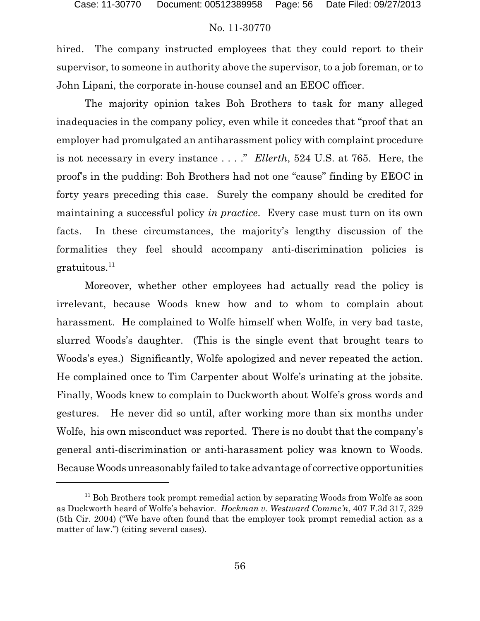hired. The company instructed employees that they could report to their supervisor, to someone in authority above the supervisor, to a job foreman, or to John Lipani, the corporate in-house counsel and an EEOC officer.

The majority opinion takes Boh Brothers to task for many alleged inadequacies in the company policy, even while it concedes that "proof that an employer had promulgated an antiharassment policy with complaint procedure is not necessary in every instance . . . ." *Ellerth*, 524 U.S. at 765. Here, the proof's in the pudding: Boh Brothers had not one "cause" finding by EEOC in forty years preceding this case. Surely the company should be credited for maintaining a successful policy *in practice*. Every case must turn on its own facts. In these circumstances, the majority's lengthy discussion of the formalities they feel should accompany anti-discrimination policies is  $gratuitous.<sup>11</sup>$ 

Moreover, whether other employees had actually read the policy is irrelevant, because Woods knew how and to whom to complain about harassment. He complained to Wolfe himself when Wolfe, in very bad taste, slurred Woods's daughter. (This is the single event that brought tears to Woods's eyes.) Significantly, Wolfe apologized and never repeated the action. He complained once to Tim Carpenter about Wolfe's urinating at the jobsite. Finally, Woods knew to complain to Duckworth about Wolfe's gross words and gestures. He never did so until, after working more than six months under Wolfe, his own misconduct was reported. There is no doubt that the company's general anti-discrimination or anti-harassment policy was known to Woods. Because Woods unreasonably failed to take advantage of corrective opportunities

<sup>&</sup>lt;sup>11</sup> Boh Brothers took prompt remedial action by separating Woods from Wolfe as soon as Duckworth heard of Wolfe's behavior. *Hockman v. Westward Commc'n*, 407 F.3d 317, 329 (5th Cir. 2004) ("We have often found that the employer took prompt remedial action as a matter of law.") (citing several cases).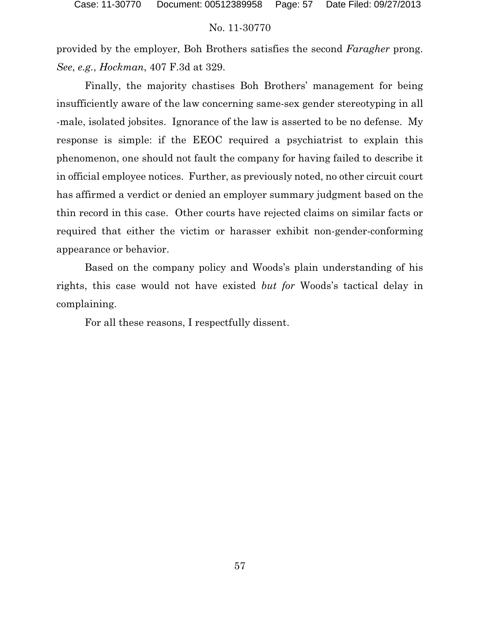provided by the employer, Boh Brothers satisfies the second *Faragher* prong. *See*, *e.g.*, *Hockman*, 407 F.3d at 329.

Finally, the majority chastises Boh Brothers' management for being insufficiently aware of the law concerning same-sex gender stereotyping in all -male, isolated jobsites. Ignorance of the law is asserted to be no defense. My response is simple: if the EEOC required a psychiatrist to explain this phenomenon, one should not fault the company for having failed to describe it in official employee notices. Further, as previously noted, no other circuit court has affirmed a verdict or denied an employer summary judgment based on the thin record in this case. Other courts have rejected claims on similar facts or required that either the victim or harasser exhibit non-gender-conforming appearance or behavior.

Based on the company policy and Woods's plain understanding of his rights, this case would not have existed *but for* Woods's tactical delay in complaining.

For all these reasons, I respectfully dissent.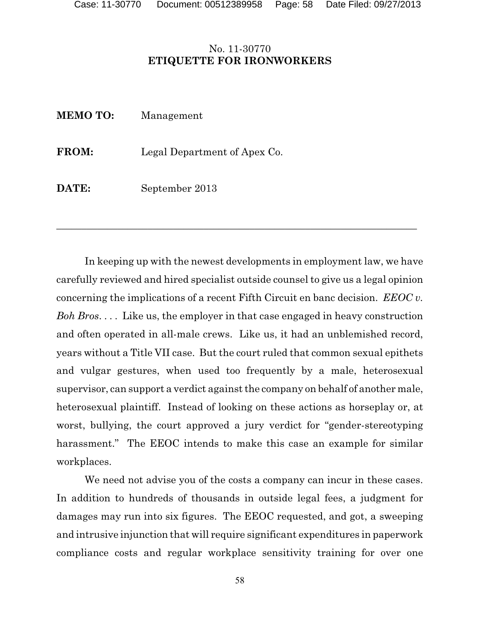# No. 11-30770 **ETIQUETTE FOR IRONWORKERS**

| <b>MEMO TO:</b> | Management                   |
|-----------------|------------------------------|
| <b>FROM:</b>    | Legal Department of Apex Co. |
| DATE:           | September 2013               |

In keeping up with the newest developments in employment law, we have carefully reviewed and hired specialist outside counsel to give us a legal opinion concerning the implications of a recent Fifth Circuit en banc decision. *EEOC v. Boh Bros*. . . . Like us, the employer in that case engaged in heavy construction and often operated in all-male crews. Like us, it had an unblemished record, years without a Title VII case. But the court ruled that common sexual epithets and vulgar gestures, when used too frequently by a male, heterosexual supervisor, can support a verdict against the company on behalf of another male, heterosexual plaintiff. Instead of looking on these actions as horseplay or, at worst, bullying, the court approved a jury verdict for "gender-stereotyping harassment." The EEOC intends to make this case an example for similar workplaces.

 $\overline{a_1}$  , and the contribution of the contribution of the contribution of the contribution of the contribution of the contribution of the contribution of the contribution of the contribution of the contribution of the

We need not advise you of the costs a company can incur in these cases. In addition to hundreds of thousands in outside legal fees, a judgment for damages may run into six figures. The EEOC requested, and got, a sweeping and intrusive injunction that will require significant expenditures in paperwork compliance costs and regular workplace sensitivity training for over one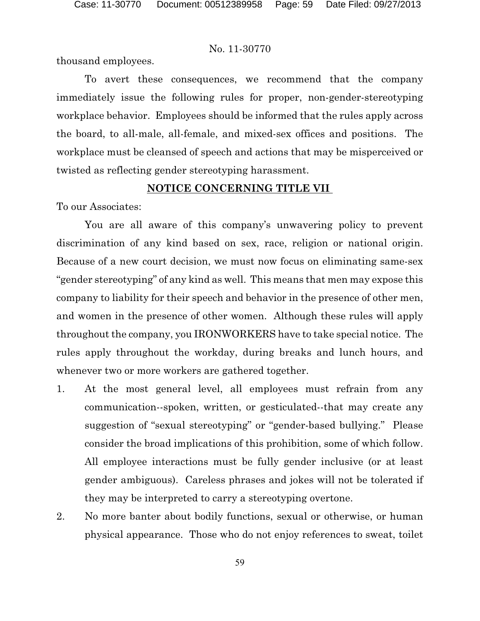thousand employees.

To avert these consequences, we recommend that the company immediately issue the following rules for proper, non-gender-stereotyping workplace behavior. Employees should be informed that the rules apply across the board, to all-male, all-female, and mixed-sex offices and positions. The workplace must be cleansed of speech and actions that may be misperceived or twisted as reflecting gender stereotyping harassment.

### **NOTICE CONCERNING TITLE VII**

To our Associates:

You are all aware of this company's unwavering policy to prevent discrimination of any kind based on sex, race, religion or national origin. Because of a new court decision, we must now focus on eliminating same-sex "gender stereotyping" of any kind as well. This means that men may expose this company to liability for their speech and behavior in the presence of other men, and women in the presence of other women. Although these rules will apply throughout the company, you IRONWORKERS have to take special notice. The rules apply throughout the workday, during breaks and lunch hours, and whenever two or more workers are gathered together.

- 1. At the most general level, all employees must refrain from any communication--spoken, written, or gesticulated--that may create any suggestion of "sexual stereotyping" or "gender-based bullying." Please consider the broad implications of this prohibition, some of which follow. All employee interactions must be fully gender inclusive (or at least gender ambiguous). Careless phrases and jokes will not be tolerated if they may be interpreted to carry a stereotyping overtone.
- 2. No more banter about bodily functions, sexual or otherwise, or human physical appearance. Those who do not enjoy references to sweat, toilet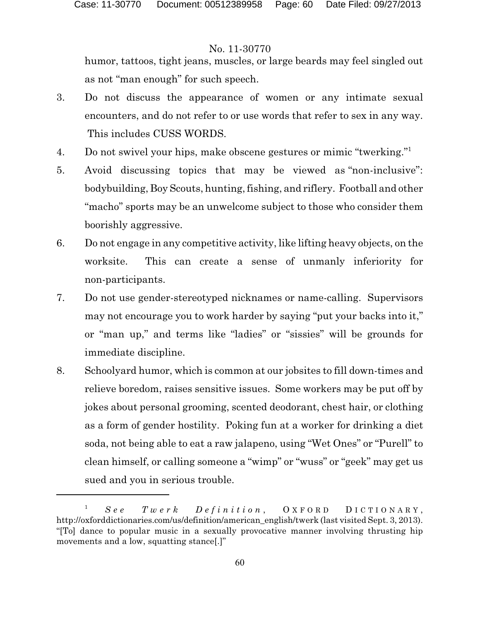humor, tattoos, tight jeans, muscles, or large beards may feel singled out as not "man enough" for such speech.

- 3. Do not discuss the appearance of women or any intimate sexual encounters, and do not refer to or use words that refer to sex in any way. This includes CUSS WORDS.
- 4. Do not swivel your hips, make obscene gestures or mimic "twerking."<sup>1</sup>
- 5. Avoid discussing topics that may be viewed as "non-inclusive": bodybuilding, Boy Scouts, hunting, fishing, and riflery. Football and other "macho" sports may be an unwelcome subject to those who consider them boorishly aggressive.
- 6. Do not engage in any competitive activity, like lifting heavy objects, on the worksite. This can create a sense of unmanly inferiority for non-participants.
- 7. Do not use gender-stereotyped nicknames or name-calling. Supervisors may not encourage you to work harder by saying "put your backs into it," or "man up," and terms like "ladies" or "sissies" will be grounds for immediate discipline.
- 8. Schoolyard humor, which is common at our jobsites to fill down-times and relieve boredom, raises sensitive issues. Some workers may be put off by jokes about personal grooming, scented deodorant, chest hair, or clothing as a form of gender hostility. Poking fun at a worker for drinking a diet soda, not being able to eat a raw jalapeno, using "Wet Ones" or "Purell" to clean himself, or calling someone a "wimp" or "wuss" or "geek" may get us sued and you in serious trouble.

<sup>1</sup> *S e e T w e r k D e f i n i t i o n* , O X F O R D D I C T I O N A R Y , http://oxforddictionaries.com/us/definition/american\_english/twerk (last visited Sept. 3, 2013). "[To] dance to popular music in a sexually provocative manner involving thrusting hip movements and a low, squatting stance[.]"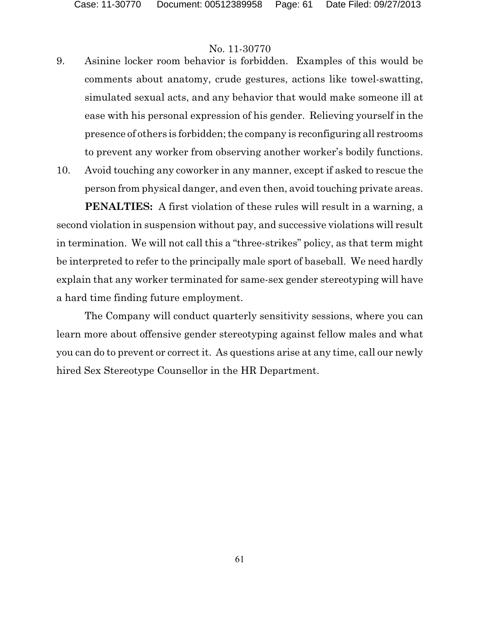- 9. Asinine locker room behavior is forbidden. Examples of this would be comments about anatomy, crude gestures, actions like towel-swatting, simulated sexual acts, and any behavior that would make someone ill at ease with his personal expression of his gender. Relieving yourself in the presence of others is forbidden; the company is reconfiguring all restrooms to prevent any worker from observing another worker's bodily functions.
- 10. Avoid touching any coworker in any manner, except if asked to rescue the person from physical danger, and even then, avoid touching private areas.

**PENALTIES:** A first violation of these rules will result in a warning, a second violation in suspension without pay, and successive violations will result in termination. We will not call this a "three-strikes" policy, as that term might be interpreted to refer to the principally male sport of baseball. We need hardly explain that any worker terminated for same-sex gender stereotyping will have a hard time finding future employment.

The Company will conduct quarterly sensitivity sessions, where you can learn more about offensive gender stereotyping against fellow males and what you can do to prevent or correct it. As questions arise at any time, call our newly hired Sex Stereotype Counsellor in the HR Department.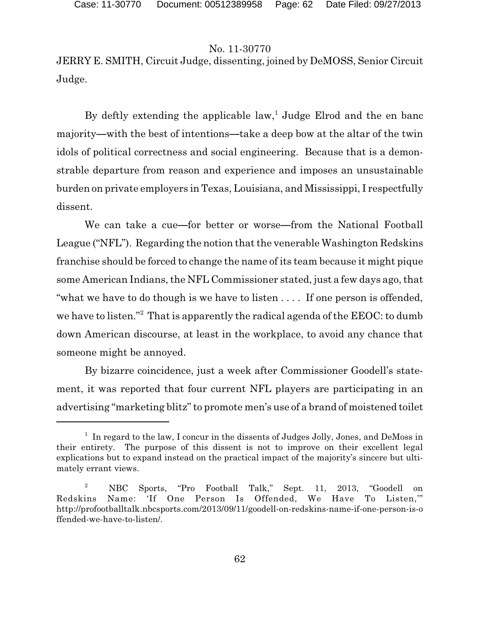JERRY E. SMITH, Circuit Judge, dissenting, joined by DeMOSS, Senior Circuit Judge.

By deftly extending the applicable  $law<sup>1</sup>$ , Judge Elrod and the en banc majority—with the best of intentions—take a deep bow at the altar of the twin idols of political correctness and social engineering. Because that is a demonstrable departure from reason and experience and imposes an unsustainable burden on private employers in Texas, Louisiana, and Mississippi, I respectfully dissent.

We can take a cue—for better or worse—from the National Football League ("NFL"). Regarding the notion that the venerable Washington Redskins franchise should be forced to change the name of its team because it might pique some American Indians, the NFL Commissioner stated, just a few days ago, that "what we have to do though is we have to listen . . . . If one person is offended, we have to listen."<sup>2</sup> That is apparently the radical agenda of the EEOC: to dumb down American discourse, at least in the workplace, to avoid any chance that someone might be annoyed.

By bizarre coincidence, just a week after Commissioner Goodell's statement, it was reported that four current NFL players are participating in an advertising "marketing blitz" to promote men's use of a brand of moistened toilet

<sup>&</sup>lt;sup>1</sup> In regard to the law, I concur in the dissents of Judges Jolly, Jones, and DeMoss in their entirety. The purpose of this dissent is not to improve on their excellent legal explications but to expand instead on the practical impact of the majority's sincere but ultimately errant views.

<sup>2</sup> NBC Sports, "Pro Football Talk," Sept. 11, 2013, "Goodell on Redskins Name: 'If One Person Is Offended, We Have To Listen,'" http://profootballtalk.nbcsports.com/2013/09/11/goodell-on-redskins-name-if-one-person-is-o ffended-we-have-to-listen/.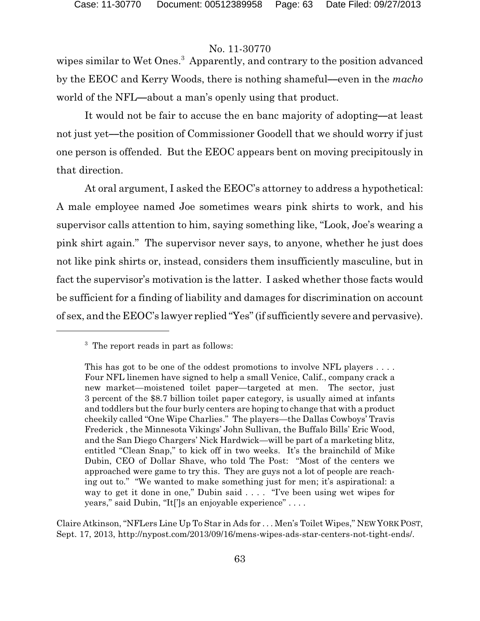wipes similar to Wet Ones.<sup>3</sup> Apparently, and contrary to the position advanced by the EEOC and Kerry Woods, there is nothing shameful—even in the *macho* world of the NFL—about a man's openly using that product.

It would not be fair to accuse the en banc majority of adopting—at least not just yet—the position of Commissioner Goodell that we should worry if just one person is offended. But the EEOC appears bent on moving precipitously in that direction.

At oral argument, I asked the EEOC's attorney to address a hypothetical: A male employee named Joe sometimes wears pink shirts to work, and his supervisor calls attention to him, saying something like, "Look, Joe's wearing a pink shirt again." The supervisor never says, to anyone, whether he just does not like pink shirts or, instead, considers them insufficiently masculine, but in fact the supervisor's motivation is the latter. I asked whether those facts would be sufficient for a finding of liability and damages for discrimination on account of sex, and the EEOC's lawyer replied "Yes" (if sufficiently severe and pervasive).

Claire Atkinson, "NFLers Line Up To Star in Ads for . . . Men's Toilet Wipes," NEW YORK POST, Sept. 17, 2013, http://nypost.com/2013/09/16/mens-wipes-ads-star-centers-not-tight-ends/.

<sup>&</sup>lt;sup>3</sup> The report reads in part as follows:

This has got to be one of the oddest promotions to involve NFL players .... Four NFL linemen have signed to help a small Venice, Calif., company crack a new market—moistened toilet paper—targeted at men. The sector, just 3 percent of the \$8.7 billion toilet paper category, is usually aimed at infants and toddlers but the four burly centers are hoping to change that with a product cheekily called "One Wipe Charlies." The players—the Dallas Cowboys' Travis Frederick , the Minnesota Vikings' John Sullivan, the Buffalo Bills' Eric Wood, and the San Diego Chargers' Nick Hardwick—will be part of a marketing blitz, entitled "Clean Snap," to kick off in two weeks. It's the brainchild of Mike Dubin, CEO of Dollar Shave, who told The Post: "Most of the centers we approached were game to try this. They are guys not a lot of people are reaching out to." "We wanted to make something just for men; it's aspirational: a way to get it done in one," Dubin said . . . . "I've been using wet wipes for years," said Dubin, "It[']s an enjoyable experience" . . . .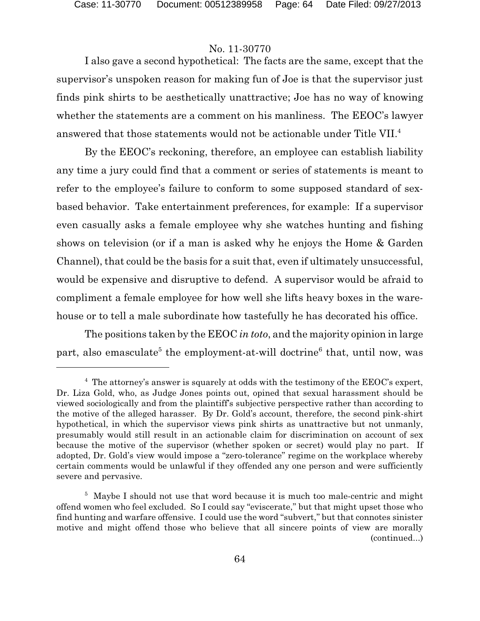I also gave a second hypothetical: The facts are the same, except that the supervisor's unspoken reason for making fun of Joe is that the supervisor just finds pink shirts to be aesthetically unattractive; Joe has no way of knowing whether the statements are a comment on his manliness. The EEOC's lawyer answered that those statements would not be actionable under Title VII.<sup>4</sup>

By the EEOC's reckoning, therefore, an employee can establish liability any time a jury could find that a comment or series of statements is meant to refer to the employee's failure to conform to some supposed standard of sexbased behavior. Take entertainment preferences, for example: If a supervisor even casually asks a female employee why she watches hunting and fishing shows on television (or if a man is asked why he enjoys the Home & Garden Channel), that could be the basis for a suit that, even if ultimately unsuccessful, would be expensive and disruptive to defend. A supervisor would be afraid to compliment a female employee for how well she lifts heavy boxes in the warehouse or to tell a male subordinate how tastefully he has decorated his office.

The positions taken by the EEOC *in toto*, and the majority opinion in large part, also emasculate<sup>5</sup> the employment-at-will doctrine<sup>6</sup> that, until now, was

<sup>&</sup>lt;sup>4</sup> The attorney's answer is squarely at odds with the testimony of the EEOC's expert, Dr. Liza Gold, who, as Judge Jones points out, opined that sexual harassment should be viewed sociologically and from the plaintiff's subjective perspective rather than according to the motive of the alleged harasser. By Dr. Gold's account, therefore, the second pink-shirt hypothetical, in which the supervisor views pink shirts as unattractive but not unmanly, presumably would still result in an actionable claim for discrimination on account of sex because the motive of the supervisor (whether spoken or secret) would play no part. If adopted, Dr. Gold's view would impose a "zero-tolerance" regime on the workplace whereby certain comments would be unlawful if they offended any one person and were sufficiently severe and pervasive.

<sup>&</sup>lt;sup>5</sup> Maybe I should not use that word because it is much too male-centric and might offend women who feel excluded. So I could say "eviscerate," but that might upset those who find hunting and warfare offensive. I could use the word "subvert," but that connotes sinister motive and might offend those who believe that all sincere points of view are morally (continued...)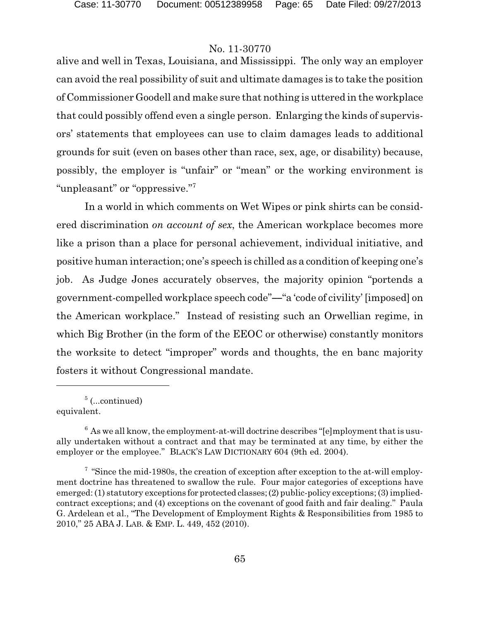alive and well in Texas, Louisiana, and Mississippi. The only way an employer can avoid the real possibility of suit and ultimate damages is to take the position of Commissioner Goodell and make sure that nothing is uttered in the workplace that could possibly offend even a single person. Enlarging the kinds of supervisors' statements that employees can use to claim damages leads to additional grounds for suit (even on bases other than race, sex, age, or disability) because, possibly, the employer is "unfair" or "mean" or the working environment is "unpleasant" or "oppressive."<sup>7</sup>

In a world in which comments on Wet Wipes or pink shirts can be considered discrimination *on account of sex*, the American workplace becomes more like a prison than a place for personal achievement, individual initiative, and positive human interaction; one's speech is chilled as a condition of keeping one's job. As Judge Jones accurately observes, the majority opinion "portends a government-compelled workplace speech code"—"a 'code of civility' [imposed] on the American workplace." Instead of resisting such an Orwellian regime, in which Big Brother (in the form of the EEOC or otherwise) constantly monitors the worksite to detect "improper" words and thoughts, the en banc majority fosters it without Congressional mandate.

<sup>5</sup> (...continued)

equivalent.

 $6$  As we all know, the employment-at-will doctrine describes "[e]mployment that is usually undertaken without a contract and that may be terminated at any time, by either the employer or the employee." BLACK'S LAW DICTIONARY 604 (9th ed. 2004).

<sup>&</sup>lt;sup>7</sup> "Since the mid-1980s, the creation of exception after exception to the at-will employment doctrine has threatened to swallow the rule. Four major categories of exceptions have emerged: (1) statutory exceptions for protected classes;(2) public-policy exceptions;(3) impliedcontract exceptions; and (4) exceptions on the covenant of good faith and fair dealing." Paula G. Ardelean et al., "The Development of Employment Rights & Responsibilities from 1985 to 2010," 25 ABA J. LAB. & EMP. L. 449, 452 (2010).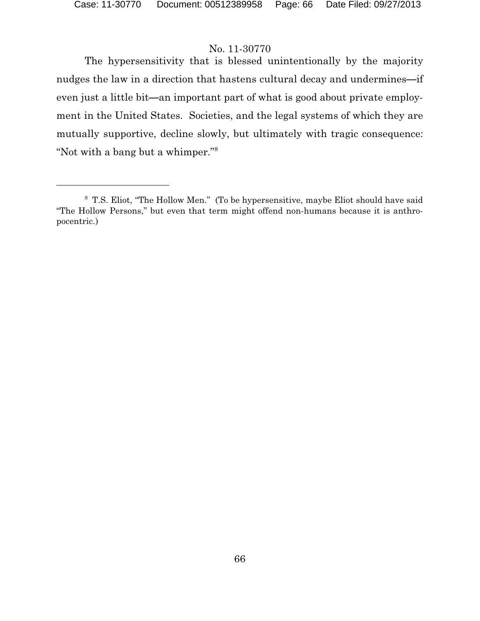The hypersensitivity that is blessed unintentionally by the majority nudges the law in a direction that hastens cultural decay and undermines-if even just a little bit—an important part of what is good about private employment in the United States. Societies, and the legal systems of which they are mutually supportive, decline slowly, but ultimately with tragic consequence: "Not with a bang but a whimper."<sup>8</sup>

<sup>8</sup> T.S. Eliot, "The Hollow Men." (To be hypersensitive, maybe Eliot should have said "The Hollow Persons," but even that term might offend non-humans because it is anthropocentric.)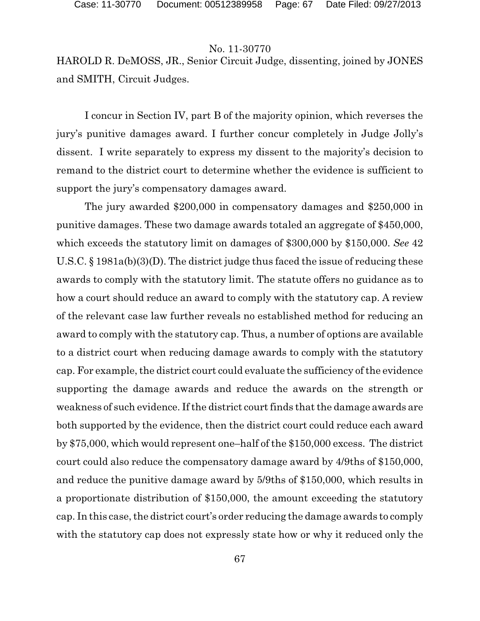HAROLD R. DeMOSS, JR., Senior Circuit Judge, dissenting, joined by JONES and SMITH, Circuit Judges.

I concur in Section IV, part B of the majority opinion, which reverses the jury's punitive damages award. I further concur completely in Judge Jolly's dissent. I write separately to express my dissent to the majority's decision to remand to the district court to determine whether the evidence is sufficient to support the jury's compensatory damages award.

The jury awarded \$200,000 in compensatory damages and \$250,000 in punitive damages. These two damage awards totaled an aggregate of \$450,000, which exceeds the statutory limit on damages of \$300,000 by \$150,000. *See* 42 U.S.C. § 1981a(b)(3)(D). The district judge thus faced the issue of reducing these awards to comply with the statutory limit. The statute offers no guidance as to how a court should reduce an award to comply with the statutory cap. A review of the relevant case law further reveals no established method for reducing an award to comply with the statutory cap. Thus, a number of options are available to a district court when reducing damage awards to comply with the statutory cap. For example, the district court could evaluate the sufficiency of the evidence supporting the damage awards and reduce the awards on the strength or weakness of such evidence. If the district court finds that the damage awards are both supported by the evidence, then the district court could reduce each award by \$75,000, which would represent one–half of the \$150,000 excess. The district court could also reduce the compensatory damage award by 4/9ths of \$150,000, and reduce the punitive damage award by 5/9ths of \$150,000, which results in a proportionate distribution of \$150,000, the amount exceeding the statutory cap. In this case, the district court's order reducing the damage awards to comply with the statutory cap does not expressly state how or why it reduced only the